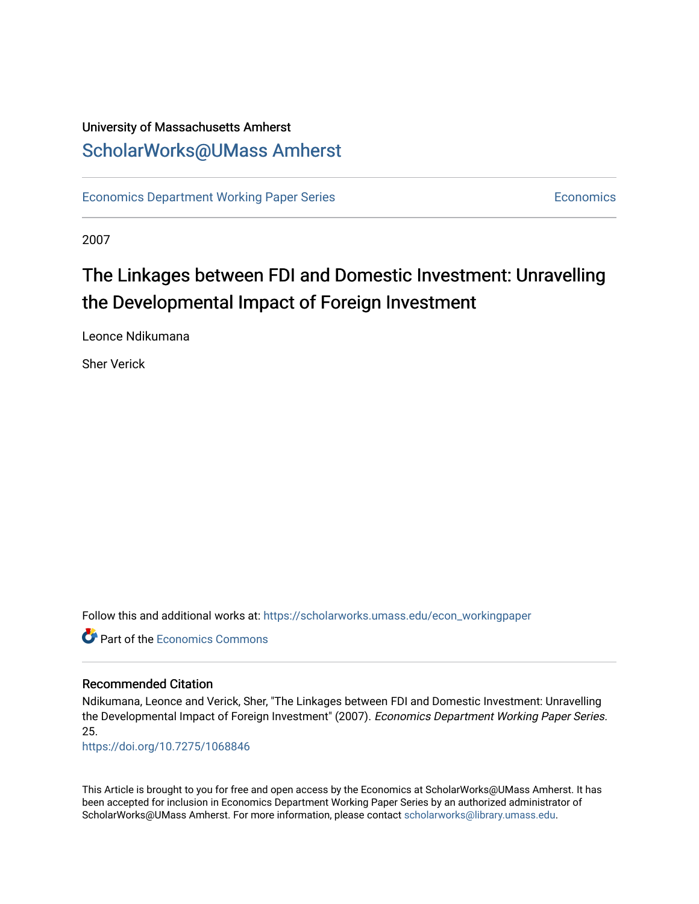# University of Massachusetts Amherst [ScholarWorks@UMass Amherst](https://scholarworks.umass.edu/)

[Economics Department Working Paper Series](https://scholarworks.umass.edu/econ_workingpaper) **Economics** [Economics](https://scholarworks.umass.edu/economics) Economics

2007

# The Linkages between FDI and Domestic Investment: Unravelling the Developmental Impact of Foreign Investment

Leonce Ndikumana

Sher Verick

Follow this and additional works at: [https://scholarworks.umass.edu/econ\\_workingpaper](https://scholarworks.umass.edu/econ_workingpaper?utm_source=scholarworks.umass.edu%2Fecon_workingpaper%2F25&utm_medium=PDF&utm_campaign=PDFCoverPages) 

**C** Part of the [Economics Commons](http://network.bepress.com/hgg/discipline/340?utm_source=scholarworks.umass.edu%2Fecon_workingpaper%2F25&utm_medium=PDF&utm_campaign=PDFCoverPages)

#### Recommended Citation

Ndikumana, Leonce and Verick, Sher, "The Linkages between FDI and Domestic Investment: Unravelling the Developmental Impact of Foreign Investment" (2007). Economics Department Working Paper Series. 25.

<https://doi.org/10.7275/1068846>

This Article is brought to you for free and open access by the Economics at ScholarWorks@UMass Amherst. It has been accepted for inclusion in Economics Department Working Paper Series by an authorized administrator of ScholarWorks@UMass Amherst. For more information, please contact [scholarworks@library.umass.edu.](mailto:scholarworks@library.umass.edu)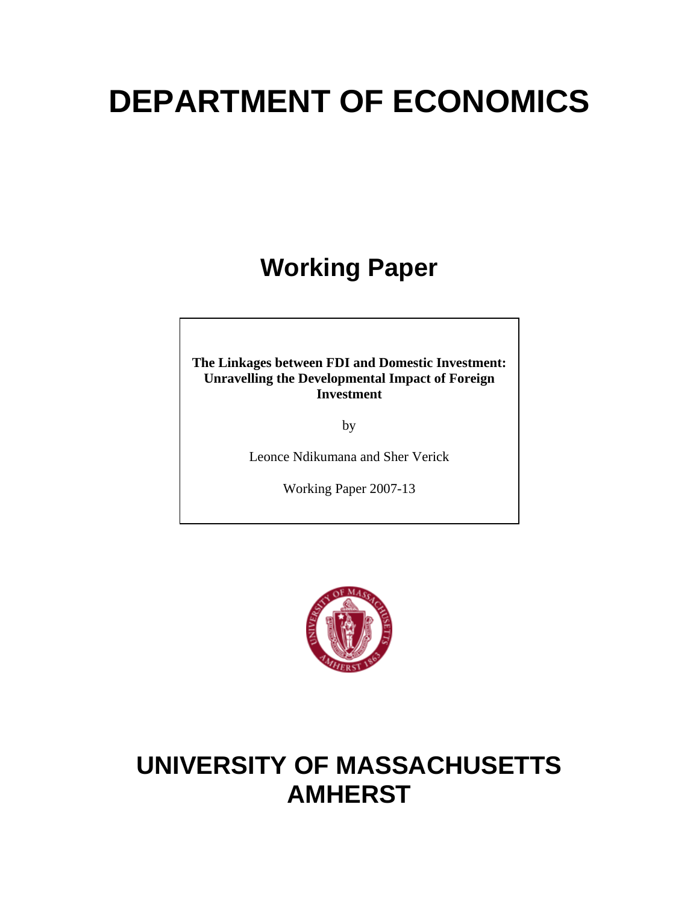# **DEPARTMENT OF ECONOMICS**

# **Working Paper**

**The Linkages between FDI and Domestic Investment: Unravelling the Developmental Impact of Foreign Investment** 

by

Leonce Ndikumana and Sher Verick

Working Paper 2007-13



# **UNIVERSITY OF MASSACHUSETTS AMHERST**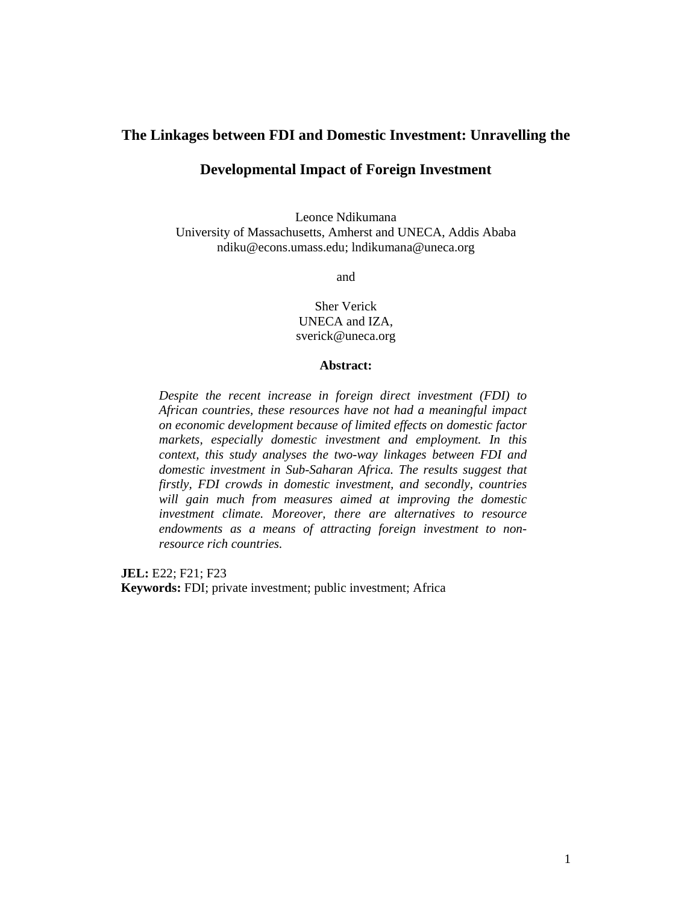#### **The Linkages between FDI and Domestic Investment: Unravelling the**

## **Developmental Impact of Foreign Investment**

Leonce Ndikumana University of Massachusetts, Amherst and UNECA, Addis Ababa ndiku@econs.umass.edu; lndikumana@uneca.org

and

Sher Verick UNECA and IZA, sverick@uneca.org

#### **Abstract:**

*Despite the recent increase in foreign direct investment (FDI) to African countries, these resources have not had a meaningful impact on economic development because of limited effects on domestic factor markets, especially domestic investment and employment. In this context, this study analyses the two-way linkages between FDI and domestic investment in Sub-Saharan Africa. The results suggest that firstly, FDI crowds in domestic investment, and secondly, countries will gain much from measures aimed at improving the domestic investment climate. Moreover, there are alternatives to resource endowments as a means of attracting foreign investment to nonresource rich countries.* 

**JEL:** E22; F21; F23 **Keywords:** FDI; private investment; public investment; Africa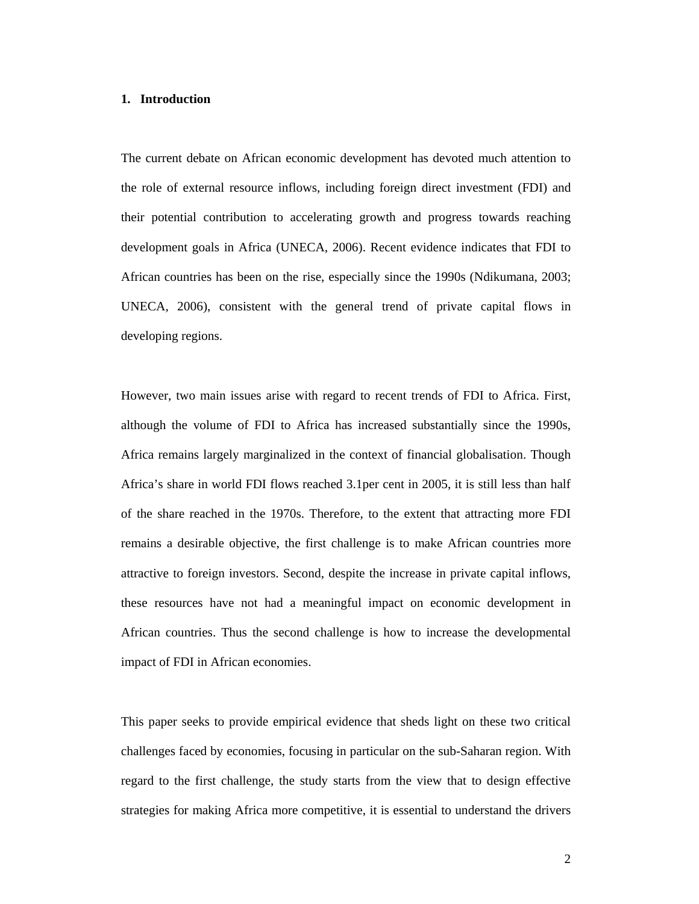#### **1. Introduction**

The current debate on African economic development has devoted much attention to the role of external resource inflows, including foreign direct investment (FDI) and their potential contribution to accelerating growth and progress towards reaching development goals in Africa (UNECA, 2006). Recent evidence indicates that FDI to African countries has been on the rise, especially since the 1990s (Ndikumana, 2003; UNECA, 2006), consistent with the general trend of private capital flows in developing regions.

However, two main issues arise with regard to recent trends of FDI to Africa. First, although the volume of FDI to Africa has increased substantially since the 1990s, Africa remains largely marginalized in the context of financial globalisation. Though Africa's share in world FDI flows reached 3.1per cent in 2005, it is still less than half of the share reached in the 1970s. Therefore, to the extent that attracting more FDI remains a desirable objective, the first challenge is to make African countries more attractive to foreign investors. Second, despite the increase in private capital inflows, these resources have not had a meaningful impact on economic development in African countries. Thus the second challenge is how to increase the developmental impact of FDI in African economies.

This paper seeks to provide empirical evidence that sheds light on these two critical challenges faced by economies, focusing in particular on the sub-Saharan region. With regard to the first challenge, the study starts from the view that to design effective strategies for making Africa more competitive, it is essential to understand the drivers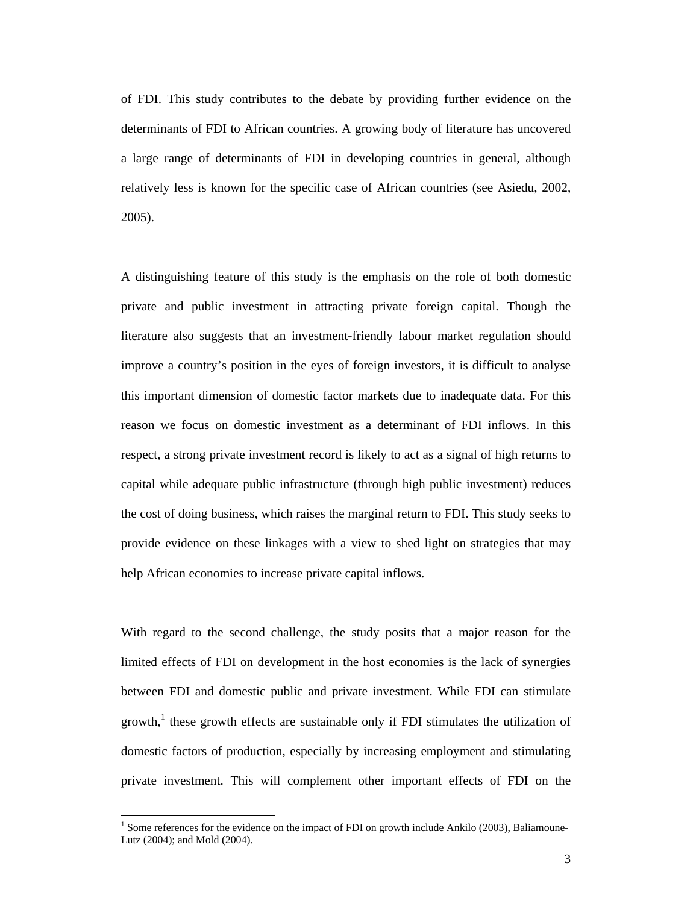of FDI. This study contributes to the debate by providing further evidence on the determinants of FDI to African countries. A growing body of literature has uncovered a large range of determinants of FDI in developing countries in general, although relatively less is known for the specific case of African countries (see Asiedu, 2002, 2005).

A distinguishing feature of this study is the emphasis on the role of both domestic private and public investment in attracting private foreign capital. Though the literature also suggests that an investment-friendly labour market regulation should improve a country's position in the eyes of foreign investors, it is difficult to analyse this important dimension of domestic factor markets due to inadequate data. For this reason we focus on domestic investment as a determinant of FDI inflows. In this respect, a strong private investment record is likely to act as a signal of high returns to capital while adequate public infrastructure (through high public investment) reduces the cost of doing business, which raises the marginal return to FDI. This study seeks to provide evidence on these linkages with a view to shed light on strategies that may help African economies to increase private capital inflows.

With regard to the second challenge, the study posits that a major reason for the limited effects of FDI on development in the host economies is the lack of synergies between FDI and domestic public and private investment. While FDI can stimulate growth,<sup>1</sup> these growth effects are sustainable only if FDI stimulates the utilization of domestic factors of production, especially by increasing employment and stimulating private investment. This will complement other important effects of FDI on the

 $\overline{a}$ 

 $1$  Some references for the evidence on the impact of FDI on growth include Ankilo (2003), Baliamoune-Lutz (2004); and Mold (2004).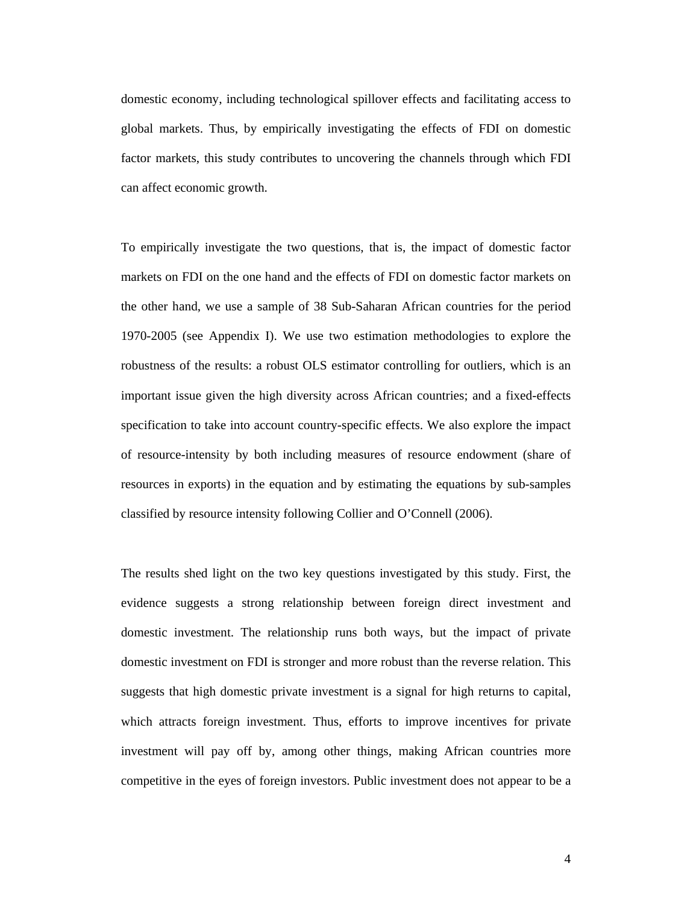domestic economy, including technological spillover effects and facilitating access to global markets. Thus, by empirically investigating the effects of FDI on domestic factor markets, this study contributes to uncovering the channels through which FDI can affect economic growth.

To empirically investigate the two questions, that is, the impact of domestic factor markets on FDI on the one hand and the effects of FDI on domestic factor markets on the other hand, we use a sample of 38 Sub-Saharan African countries for the period 1970-2005 (see Appendix I). We use two estimation methodologies to explore the robustness of the results: a robust OLS estimator controlling for outliers, which is an important issue given the high diversity across African countries; and a fixed-effects specification to take into account country-specific effects. We also explore the impact of resource-intensity by both including measures of resource endowment (share of resources in exports) in the equation and by estimating the equations by sub-samples classified by resource intensity following Collier and O'Connell (2006).

The results shed light on the two key questions investigated by this study. First, the evidence suggests a strong relationship between foreign direct investment and domestic investment. The relationship runs both ways, but the impact of private domestic investment on FDI is stronger and more robust than the reverse relation. This suggests that high domestic private investment is a signal for high returns to capital, which attracts foreign investment. Thus, efforts to improve incentives for private investment will pay off by, among other things, making African countries more competitive in the eyes of foreign investors. Public investment does not appear to be a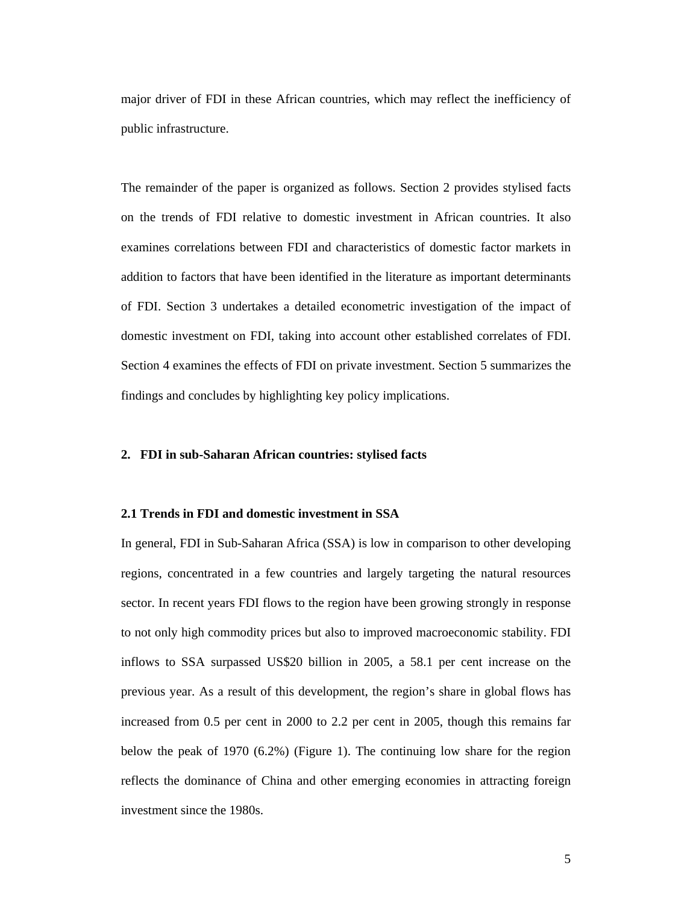major driver of FDI in these African countries, which may reflect the inefficiency of public infrastructure.

The remainder of the paper is organized as follows. Section 2 provides stylised facts on the trends of FDI relative to domestic investment in African countries. It also examines correlations between FDI and characteristics of domestic factor markets in addition to factors that have been identified in the literature as important determinants of FDI. Section 3 undertakes a detailed econometric investigation of the impact of domestic investment on FDI, taking into account other established correlates of FDI. Section 4 examines the effects of FDI on private investment. Section 5 summarizes the findings and concludes by highlighting key policy implications.

#### **2. FDI in sub-Saharan African countries: stylised facts**

#### **2.1 Trends in FDI and domestic investment in SSA**

In general, FDI in Sub-Saharan Africa (SSA) is low in comparison to other developing regions, concentrated in a few countries and largely targeting the natural resources sector. In recent years FDI flows to the region have been growing strongly in response to not only high commodity prices but also to improved macroeconomic stability. FDI inflows to SSA surpassed US\$20 billion in 2005, a 58.1 per cent increase on the previous year. As a result of this development, the region's share in global flows has increased from 0.5 per cent in 2000 to 2.2 per cent in 2005, though this remains far below the peak of 1970 (6.2%) (Figure 1). The continuing low share for the region reflects the dominance of China and other emerging economies in attracting foreign investment since the 1980s.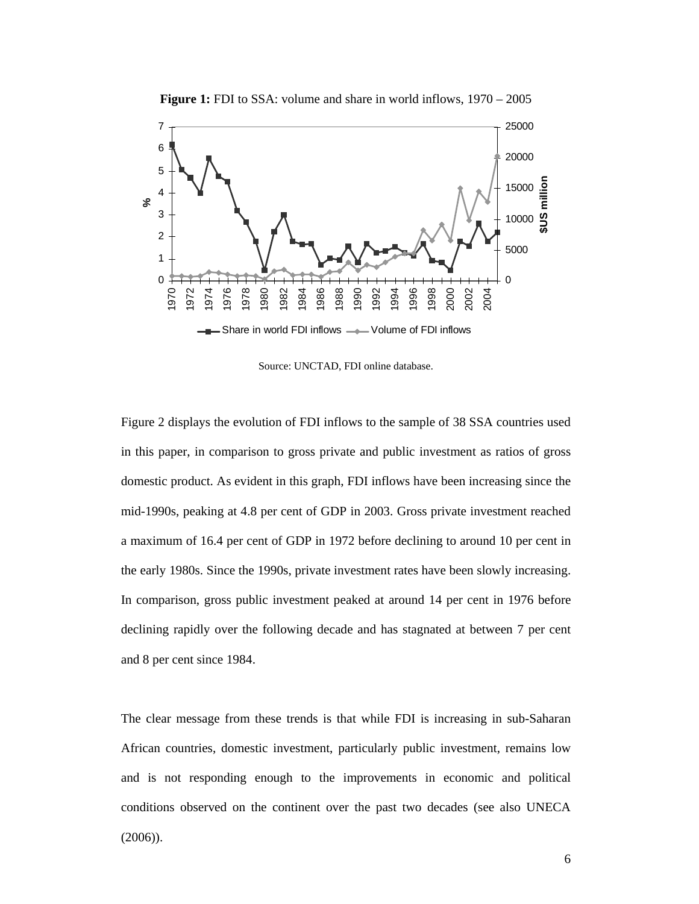

**Figure 1:** FDI to SSA: volume and share in world inflows,  $1970 - 2005$ 

Source: UNCTAD, FDI online database.

Figure 2 displays the evolution of FDI inflows to the sample of 38 SSA countries used in this paper, in comparison to gross private and public investment as ratios of gross domestic product. As evident in this graph, FDI inflows have been increasing since the mid-1990s, peaking at 4.8 per cent of GDP in 2003. Gross private investment reached a maximum of 16.4 per cent of GDP in 1972 before declining to around 10 per cent in the early 1980s. Since the 1990s, private investment rates have been slowly increasing. In comparison, gross public investment peaked at around 14 per cent in 1976 before declining rapidly over the following decade and has stagnated at between 7 per cent and 8 per cent since 1984.

The clear message from these trends is that while FDI is increasing in sub-Saharan African countries, domestic investment, particularly public investment, remains low and is not responding enough to the improvements in economic and political conditions observed on the continent over the past two decades (see also UNECA (2006)).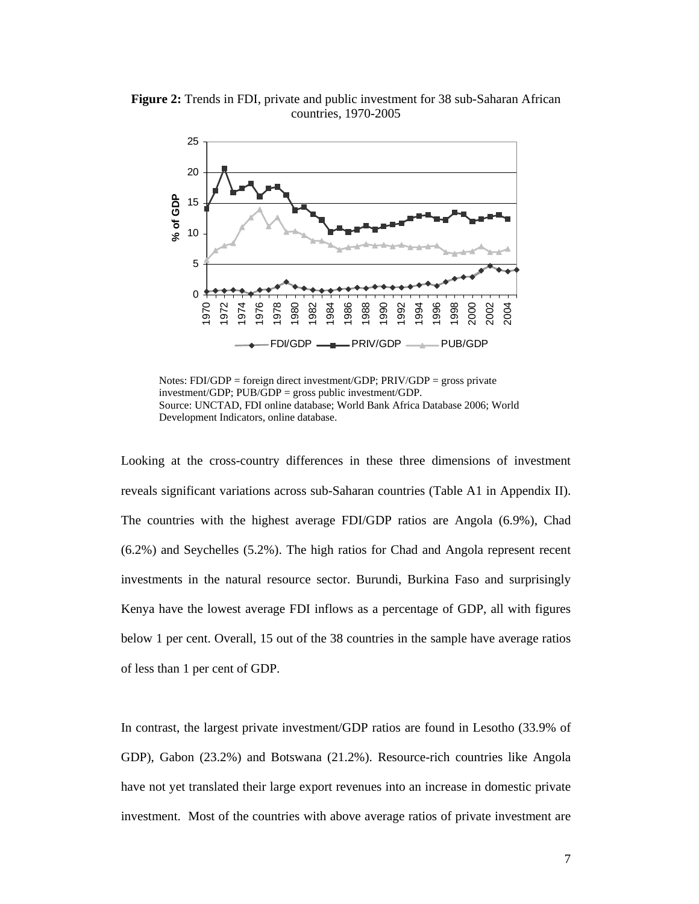

**Figure 2:** Trends in FDI, private and public investment for 38 sub-Saharan African countries, 1970-2005

Notes: FDI/GDP = foreign direct investment/GDP; PRIV/GDP = gross private investment/GDP; PUB/GDP = gross public investment/GDP. Source: UNCTAD, FDI online database; World Bank Africa Database 2006; World Development Indicators, online database.

Looking at the cross-country differences in these three dimensions of investment reveals significant variations across sub-Saharan countries (Table A1 in Appendix II). The countries with the highest average FDI/GDP ratios are Angola (6.9%), Chad (6.2%) and Seychelles (5.2%). The high ratios for Chad and Angola represent recent investments in the natural resource sector. Burundi, Burkina Faso and surprisingly Kenya have the lowest average FDI inflows as a percentage of GDP, all with figures below 1 per cent. Overall, 15 out of the 38 countries in the sample have average ratios of less than 1 per cent of GDP.

In contrast, the largest private investment/GDP ratios are found in Lesotho (33.9% of GDP), Gabon (23.2%) and Botswana (21.2%). Resource-rich countries like Angola have not yet translated their large export revenues into an increase in domestic private investment. Most of the countries with above average ratios of private investment are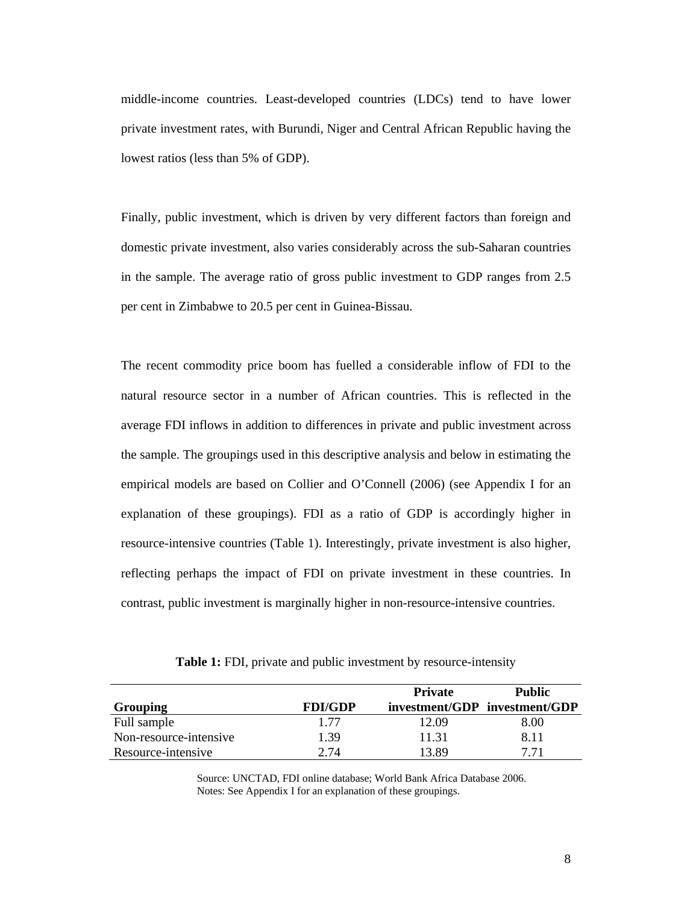middle-income countries. Least-developed countries (LDCs) tend to have lower private investment rates, with Burundi, Niger and Central African Republic having the lowest ratios (less than 5% of GDP).

Finally, public investment, which is driven by very different factors than foreign and domestic private investment, also varies considerably across the sub-Saharan countries in the sample. The average ratio of gross public investment to GDP ranges from 2.5 per cent in Zimbabwe to 20.5 per cent in Guinea-Bissau.

The recent commodity price boom has fuelled a considerable inflow of FDI to the natural resource sector in a number of African countries. This is reflected in the average FDI inflows in addition to differences in private and public investment across the sample. The groupings used in this descriptive analysis and below in estimating the empirical models are based on Collier and O'Connell (2006) (see Appendix I for an explanation of these groupings). FDI as a ratio of GDP is accordingly higher in resource-intensive countries (Table 1). Interestingly, private investment is also higher, reflecting perhaps the impact of FDI on private investment in these countries. In contrast, public investment is marginally higher in non-resource-intensive countries.

**Table 1:** FDI, private and public investment by resource-intensity

|                        |                | <b>Private</b> | <b>Public</b>                 |
|------------------------|----------------|----------------|-------------------------------|
| Grouping               | <b>FDI/GDP</b> |                | investment/GDP investment/GDP |
| Full sample            | 1.77           | 12.09          | 8.00                          |
| Non-resource-intensive | 1.39           | 11.31          | 8.11                          |
| Resource-intensive     | 2.74           | 13.89          | 7 71                          |

Source: UNCTAD, FDI online database; World Bank Africa Database 2006. Notes: See Appendix I for an explanation of these groupings.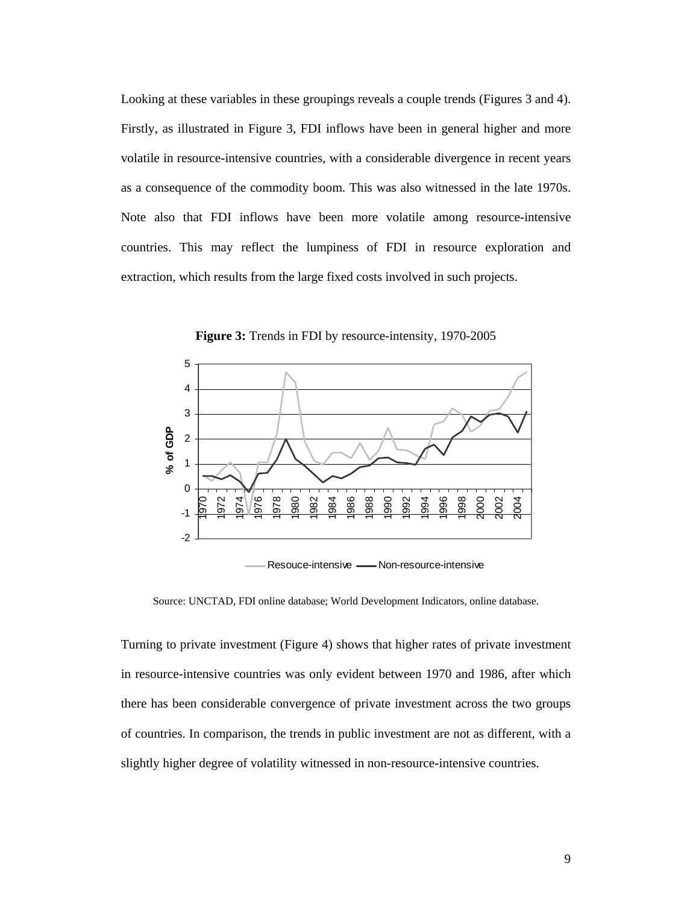Looking at these variables in these groupings reveals a couple trends (Figures 3 and 4). Firstly, as illustrated in Figure 3, FDI inflows have been in general higher and more volatile in resource-intensive countries, with a considerable divergence in recent years as a consequence of the commodity boom. This was also witnessed in the late 1970s. Note also that FDI inflows have been more volatile among resource-intensive countries. This may reflect the lumpiness of FDI in resource exploration and extraction, which results from the large fixed costs involved in such projects.



**Figure 3:** Trends in FDI by resource-intensity, 1970-2005

Resouce-intensive - Non-resource-intensive

Source: UNCTAD, FDI online database; World Development Indicators, online database.

Turning to private investment (Figure 4) shows that higher rates of private investment in resource-intensive countries was only evident between 1970 and 1986, after which there has been considerable convergence of private investment across the two groups of countries. In comparison, the trends in public investment are not as different, with a slightly higher degree of volatility witnessed in non-resource-intensive countries.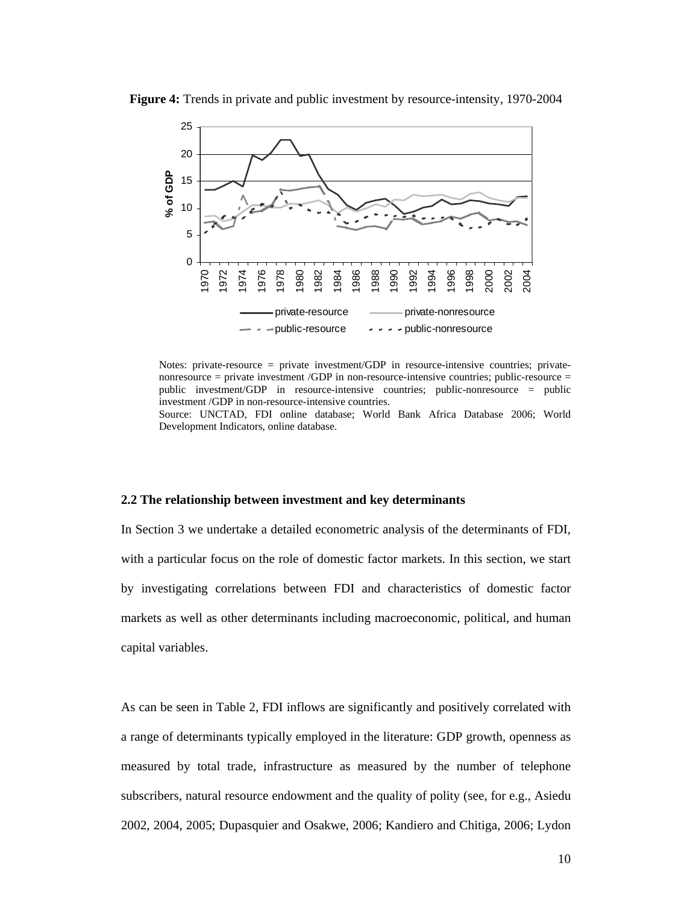

**Figure 4:** Trends in private and public investment by resource-intensity, 1970-2004

Notes: private-resource = private investment/GDP in resource-intensive countries; privatenonresource = private investment /GDP in non-resource-intensive countries; public-resource = public investment/GDP in resource-intensive countries; public-nonresource = public investment /GDP in non-resource-intensive countries. Source: UNCTAD, FDI online database; World Bank Africa Database 2006; World

Development Indicators, online database.

#### **2.2 The relationship between investment and key determinants**

In Section 3 we undertake a detailed econometric analysis of the determinants of FDI, with a particular focus on the role of domestic factor markets. In this section, we start by investigating correlations between FDI and characteristics of domestic factor markets as well as other determinants including macroeconomic, political, and human capital variables.

As can be seen in Table 2, FDI inflows are significantly and positively correlated with a range of determinants typically employed in the literature: GDP growth, openness as measured by total trade, infrastructure as measured by the number of telephone subscribers, natural resource endowment and the quality of polity (see, for e.g., Asiedu 2002, 2004, 2005; Dupasquier and Osakwe, 2006; Kandiero and Chitiga, 2006; Lydon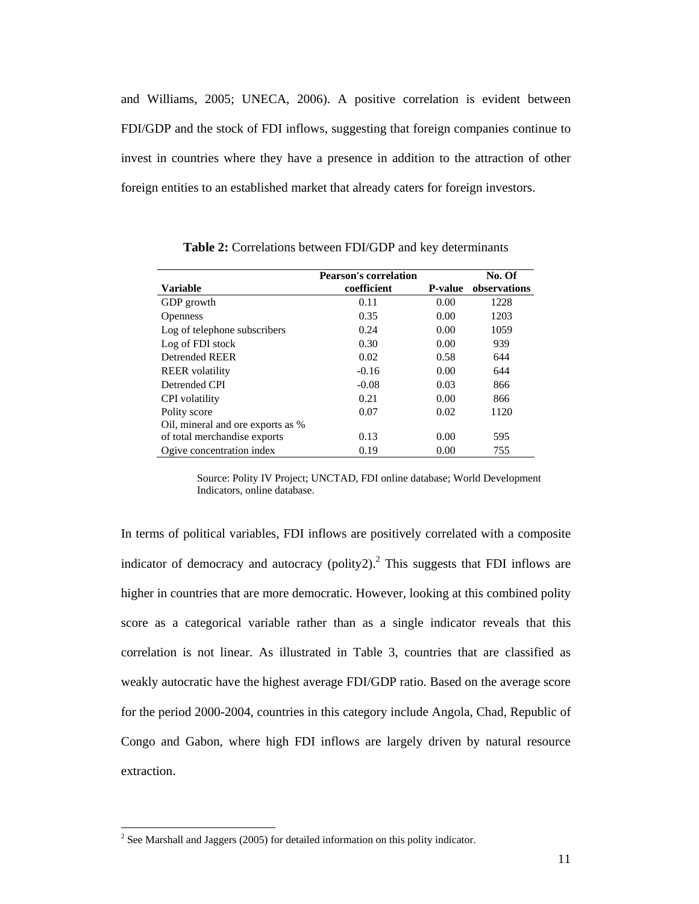and Williams, 2005; UNECA, 2006). A positive correlation is evident between FDI/GDP and the stock of FDI inflows, suggesting that foreign companies continue to invest in countries where they have a presence in addition to the attraction of other foreign entities to an established market that already caters for foreign investors.

|                                   | <b>Pearson's correlation</b> |                | No. Of       |
|-----------------------------------|------------------------------|----------------|--------------|
| <b>Variable</b>                   | coefficient                  | <b>P-value</b> | observations |
| GDP growth                        | 0.11                         | 0.00           | 1228         |
| <b>Openness</b>                   | 0.35                         | 0.00           | 1203         |
| Log of telephone subscribers      | 0.24                         | 0.00           | 1059         |
| Log of FDI stock                  | 0.30                         | 0.00           | 939          |
| Detrended REER                    | 0.02                         | 0.58           | 644          |
| <b>REER</b> volatility            | $-0.16$                      | 0.00           | 644          |
| Detrended CPI                     | $-0.08$                      | 0.03           | 866          |
| <b>CPI</b> volatility             | 0.21                         | 0.00           | 866          |
| Polity score                      | 0.07                         | 0.02           | 1120         |
| Oil, mineral and ore exports as % |                              |                |              |
| of total merchandise exports      | 0.13                         | 0.00           | 595          |
| Ogive concentration index         | 0.19                         | 0.00           | 755          |

**Table 2:** Correlations between FDI/GDP and key determinants

Source: Polity IV Project; UNCTAD, FDI online database; World Development Indicators, online database.

In terms of political variables, FDI inflows are positively correlated with a composite indicator of democracy and autocracy (polity2).<sup>2</sup> This suggests that FDI inflows are higher in countries that are more democratic. However, looking at this combined polity score as a categorical variable rather than as a single indicator reveals that this correlation is not linear. As illustrated in Table 3, countries that are classified as weakly autocratic have the highest average FDI/GDP ratio. Based on the average score for the period 2000-2004, countries in this category include Angola, Chad, Republic of Congo and Gabon, where high FDI inflows are largely driven by natural resource extraction.

 $\overline{a}$ 

 $2^2$  See Marshall and Jaggers (2005) for detailed information on this polity indicator.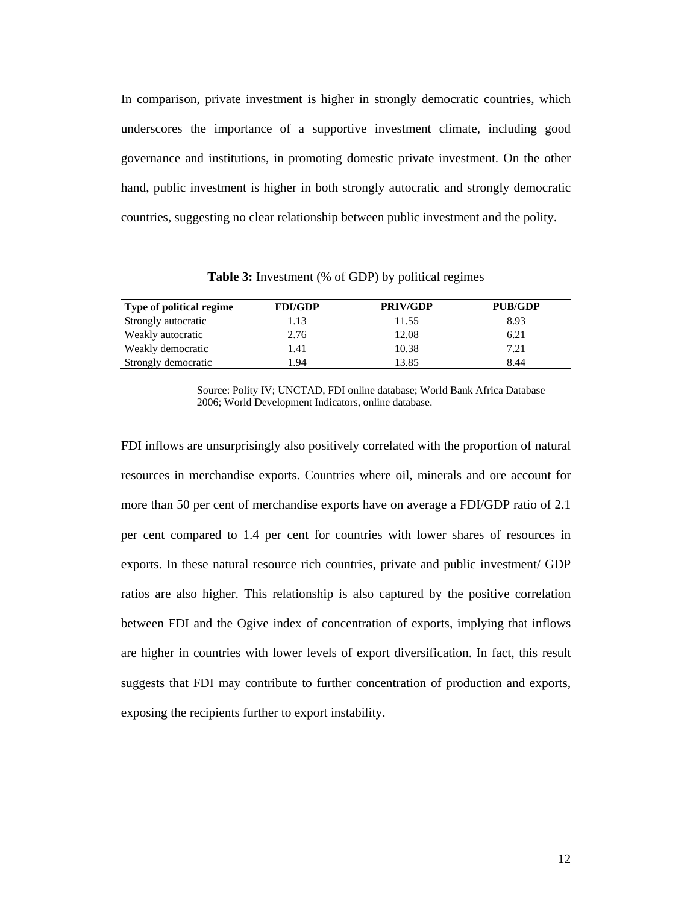In comparison, private investment is higher in strongly democratic countries, which underscores the importance of a supportive investment climate, including good governance and institutions, in promoting domestic private investment. On the other hand, public investment is higher in both strongly autocratic and strongly democratic countries, suggesting no clear relationship between public investment and the polity.

**Table 3:** Investment (% of GDP) by political regimes

| Type of political regime | <b>FDI/GDP</b> | <b>PRIV/GDP</b> | <b>PUB/GDP</b> |
|--------------------------|----------------|-----------------|----------------|
| Strongly autocratic      | 1.13           | 11.55           | 8.93           |
| Weakly autocratic        | 2.76           | 12.08           | 6.21           |
| Weakly democratic        | 1.41           | 10.38           | 7.21           |
| Strongly democratic      | 1.94           | 13.85           | 8.44           |

Source: Polity IV; UNCTAD, FDI online database; World Bank Africa Database 2006; World Development Indicators, online database.

FDI inflows are unsurprisingly also positively correlated with the proportion of natural resources in merchandise exports. Countries where oil, minerals and ore account for more than 50 per cent of merchandise exports have on average a FDI/GDP ratio of 2.1 per cent compared to 1.4 per cent for countries with lower shares of resources in exports. In these natural resource rich countries, private and public investment/ GDP ratios are also higher. This relationship is also captured by the positive correlation between FDI and the Ogive index of concentration of exports, implying that inflows are higher in countries with lower levels of export diversification. In fact, this result suggests that FDI may contribute to further concentration of production and exports, exposing the recipients further to export instability.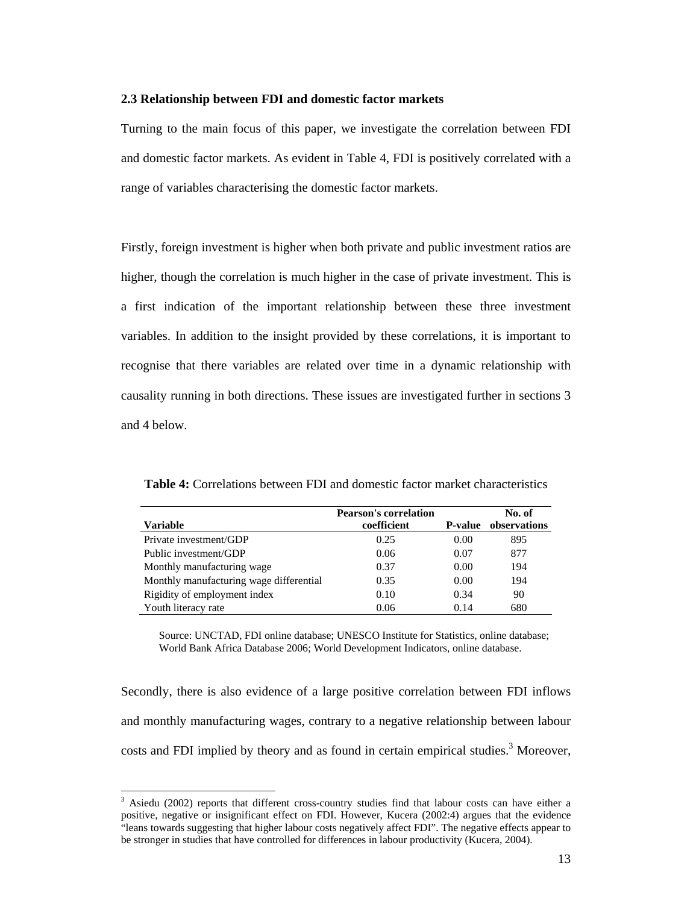#### **2.3 Relationship between FDI and domestic factor markets**

Turning to the main focus of this paper, we investigate the correlation between FDI and domestic factor markets. As evident in Table 4, FDI is positively correlated with a range of variables characterising the domestic factor markets.

Firstly, foreign investment is higher when both private and public investment ratios are higher, though the correlation is much higher in the case of private investment. This is a first indication of the important relationship between these three investment variables. In addition to the insight provided by these correlations, it is important to recognise that there variables are related over time in a dynamic relationship with causality running in both directions. These issues are investigated further in sections 3 and 4 below.

|                                         | <b>Pearson's correlation</b> |                 | No. of       |
|-----------------------------------------|------------------------------|-----------------|--------------|
| <b>Variable</b>                         | coefficient                  | <b>P</b> -value | observations |
| Private investment/GDP                  | 0.25                         | 0.00            | 895          |
| Public investment/GDP                   | 0.06                         | 0.07            | 877          |
| Monthly manufacturing wage              | 0.37                         | 0.00            | 194          |
| Monthly manufacturing wage differential | 0.35                         | 0.00            | 194          |
| Rigidity of employment index            | 0.10                         | 0.34            | 90           |
| Youth literacy rate                     | 0.06                         | 0.14            | 680          |

**Table 4:** Correlations between FDI and domestic factor market characteristics

Source: UNCTAD, FDI online database; UNESCO Institute for Statistics, online database; World Bank Africa Database 2006; World Development Indicators, online database.

Secondly, there is also evidence of a large positive correlation between FDI inflows and monthly manufacturing wages, contrary to a negative relationship between labour costs and FDI implied by theory and as found in certain empirical studies.<sup>3</sup> Moreover,

 $\overline{a}$ 

<sup>&</sup>lt;sup>3</sup> Asiedu (2002) reports that different cross-country studies find that labour costs can have either a positive, negative or insignificant effect on FDI. However, Kucera (2002:4) argues that the evidence "leans towards suggesting that higher labour costs negatively affect FDI". The negative effects appear to be stronger in studies that have controlled for differences in labour productivity (Kucera, 2004).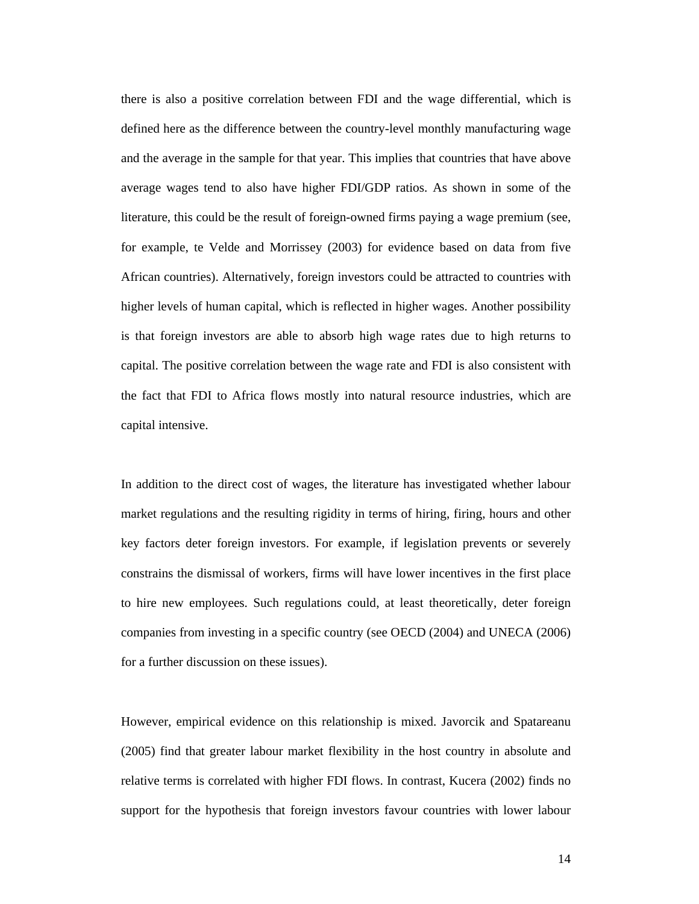there is also a positive correlation between FDI and the wage differential, which is defined here as the difference between the country-level monthly manufacturing wage and the average in the sample for that year. This implies that countries that have above average wages tend to also have higher FDI/GDP ratios. As shown in some of the literature, this could be the result of foreign-owned firms paying a wage premium (see, for example, te Velde and Morrissey (2003) for evidence based on data from five African countries). Alternatively, foreign investors could be attracted to countries with higher levels of human capital, which is reflected in higher wages. Another possibility is that foreign investors are able to absorb high wage rates due to high returns to capital. The positive correlation between the wage rate and FDI is also consistent with the fact that FDI to Africa flows mostly into natural resource industries, which are capital intensive.

In addition to the direct cost of wages, the literature has investigated whether labour market regulations and the resulting rigidity in terms of hiring, firing, hours and other key factors deter foreign investors. For example, if legislation prevents or severely constrains the dismissal of workers, firms will have lower incentives in the first place to hire new employees. Such regulations could, at least theoretically, deter foreign companies from investing in a specific country (see OECD (2004) and UNECA (2006) for a further discussion on these issues).

However, empirical evidence on this relationship is mixed. Javorcik and Spatareanu (2005) find that greater labour market flexibility in the host country in absolute and relative terms is correlated with higher FDI flows. In contrast, Kucera (2002) finds no support for the hypothesis that foreign investors favour countries with lower labour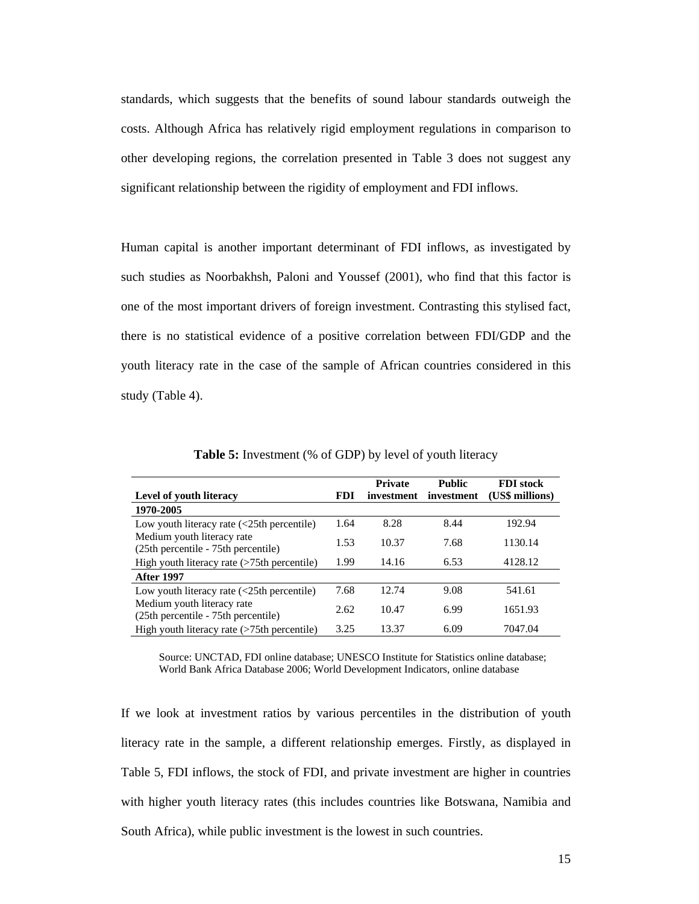standards, which suggests that the benefits of sound labour standards outweigh the costs. Although Africa has relatively rigid employment regulations in comparison to other developing regions, the correlation presented in Table 3 does not suggest any significant relationship between the rigidity of employment and FDI inflows.

Human capital is another important determinant of FDI inflows, as investigated by such studies as Noorbakhsh, Paloni and Youssef (2001), who find that this factor is one of the most important drivers of foreign investment. Contrasting this stylised fact, there is no statistical evidence of a positive correlation between FDI/GDP and the youth literacy rate in the case of the sample of African countries considered in this study (Table 4).

|                                                                                     |      | <b>Private</b> | <b>Public</b> | <b>FDI</b> stock |
|-------------------------------------------------------------------------------------|------|----------------|---------------|------------------|
| <b>Level of youth literacy</b>                                                      | FDI. | investment     | investment    | (US\$ millions)  |
| 1970-2005                                                                           |      |                |               |                  |
| Low youth literacy rate $\left\langle \langle 25 \rangle \right\rangle$ percentile) | 1.64 | 8.28           | 8.44          | 192.94           |
| Medium youth literacy rate<br>(25th percentile - 75th percentile)                   | 1.53 | 10.37          | 7.68          | 1130.14          |
| High youth literacy rate $($ >75th percentile $)$                                   | 1.99 | 14.16          | 6.53          | 4128.12          |
| <b>After 1997</b>                                                                   |      |                |               |                  |
| Low youth literacy rate $\left\langle \right\rangle 25$ th percentile)              | 7.68 | 12.74          | 9.08          | 541.61           |
| Medium youth literacy rate<br>(25th percentile - 75th percentile)                   | 2.62 | 10.47          | 6.99          | 1651.93          |
| High youth literacy rate (>75th percentile)                                         | 3.25 | 13.37          | 6.09          | 7047.04          |
|                                                                                     |      |                |               |                  |

**Table 5:** Investment (% of GDP) by level of youth literacy

Source: UNCTAD, FDI online database; UNESCO Institute for Statistics online database; World Bank Africa Database 2006; World Development Indicators, online database

If we look at investment ratios by various percentiles in the distribution of youth literacy rate in the sample, a different relationship emerges. Firstly, as displayed in Table 5, FDI inflows, the stock of FDI, and private investment are higher in countries with higher youth literacy rates (this includes countries like Botswana, Namibia and South Africa), while public investment is the lowest in such countries.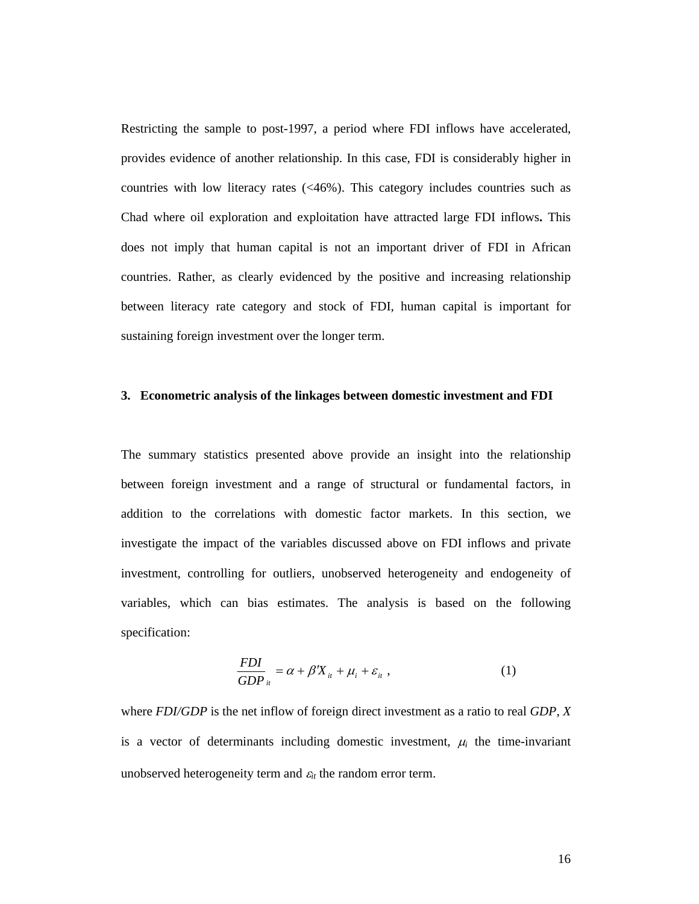Restricting the sample to post-1997, a period where FDI inflows have accelerated, provides evidence of another relationship. In this case, FDI is considerably higher in countries with low literacy rates (<46%). This category includes countries such as Chad where oil exploration and exploitation have attracted large FDI inflows**.** This does not imply that human capital is not an important driver of FDI in African countries. Rather, as clearly evidenced by the positive and increasing relationship between literacy rate category and stock of FDI, human capital is important for sustaining foreign investment over the longer term.

#### **3. Econometric analysis of the linkages between domestic investment and FDI**

The summary statistics presented above provide an insight into the relationship between foreign investment and a range of structural or fundamental factors, in addition to the correlations with domestic factor markets. In this section, we investigate the impact of the variables discussed above on FDI inflows and private investment, controlling for outliers, unobserved heterogeneity and endogeneity of variables, which can bias estimates. The analysis is based on the following specification:

$$
\frac{FDI}{GDP}_{it} = \alpha + \beta' X_{it} + \mu_i + \varepsilon_{it} , \qquad (1)
$$

where *FDI/GDP* is the net inflow of foreign direct investment as a ratio to real *GDP*, *X* is a vector of determinants including domestic investment,  $\mu_i$  the time-invariant unobserved heterogeneity term and  $\varepsilon_{it}$  the random error term.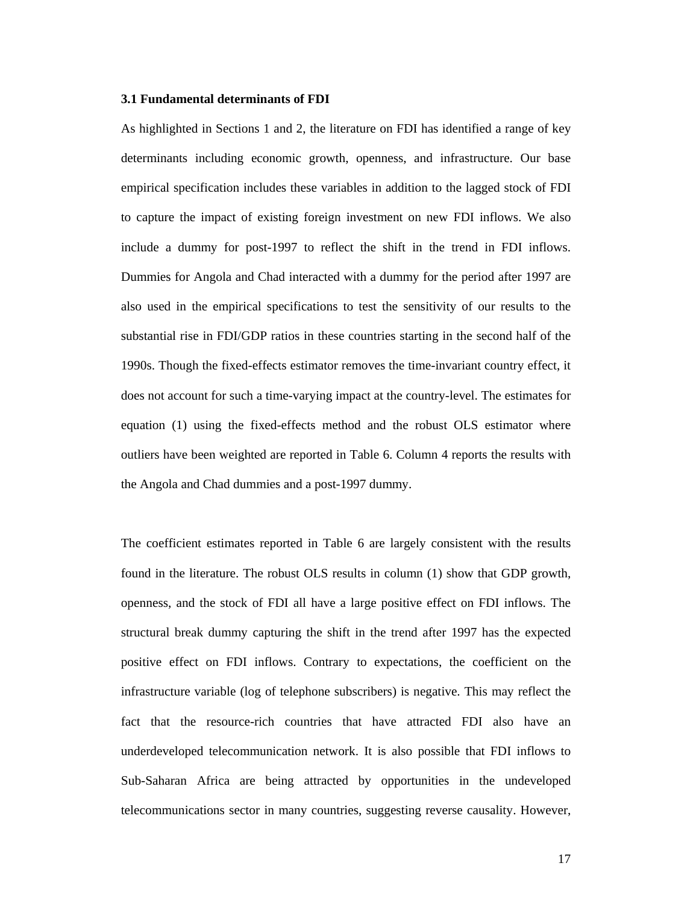#### **3.1 Fundamental determinants of FDI**

As highlighted in Sections 1 and 2, the literature on FDI has identified a range of key determinants including economic growth, openness, and infrastructure. Our base empirical specification includes these variables in addition to the lagged stock of FDI to capture the impact of existing foreign investment on new FDI inflows. We also include a dummy for post-1997 to reflect the shift in the trend in FDI inflows. Dummies for Angola and Chad interacted with a dummy for the period after 1997 are also used in the empirical specifications to test the sensitivity of our results to the substantial rise in FDI/GDP ratios in these countries starting in the second half of the 1990s. Though the fixed-effects estimator removes the time-invariant country effect, it does not account for such a time-varying impact at the country-level. The estimates for equation (1) using the fixed-effects method and the robust OLS estimator where outliers have been weighted are reported in Table 6. Column 4 reports the results with the Angola and Chad dummies and a post-1997 dummy.

The coefficient estimates reported in Table 6 are largely consistent with the results found in the literature. The robust OLS results in column (1) show that GDP growth, openness, and the stock of FDI all have a large positive effect on FDI inflows. The structural break dummy capturing the shift in the trend after 1997 has the expected positive effect on FDI inflows. Contrary to expectations, the coefficient on the infrastructure variable (log of telephone subscribers) is negative. This may reflect the fact that the resource-rich countries that have attracted FDI also have an underdeveloped telecommunication network. It is also possible that FDI inflows to Sub-Saharan Africa are being attracted by opportunities in the undeveloped telecommunications sector in many countries, suggesting reverse causality. However,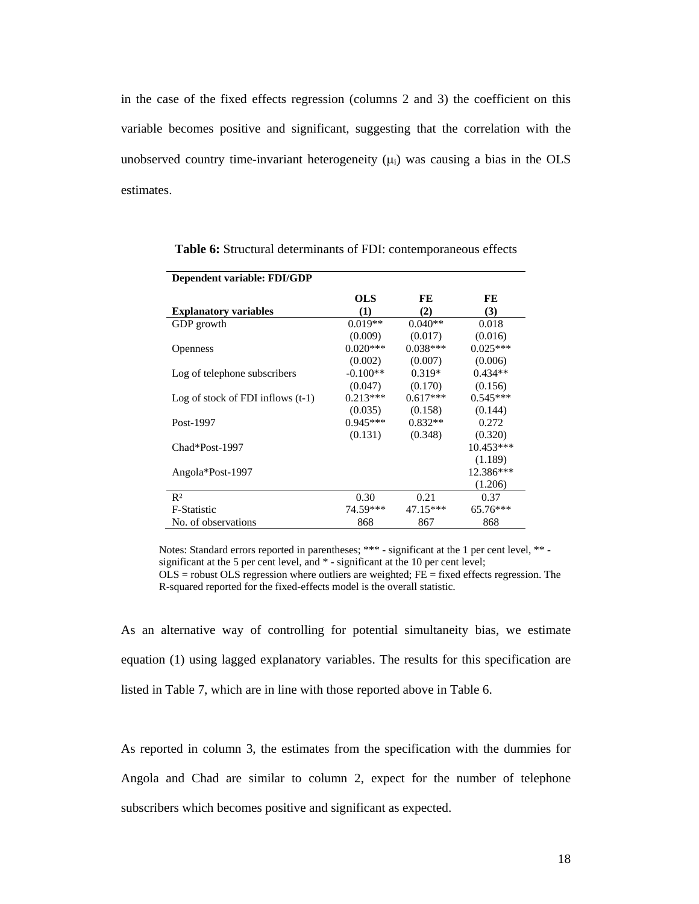in the case of the fixed effects regression (columns 2 and 3) the coefficient on this variable becomes positive and significant, suggesting that the correlation with the unobserved country time-invariant heterogeneity  $(\mu_i)$  was causing a bias in the OLS estimates.

| Dependent variable: FDI/GDP         |            |            |             |
|-------------------------------------|------------|------------|-------------|
|                                     | OLS        | FE         | FE          |
| <b>Explanatory variables</b>        | (1)        | (2)        | (3)         |
| GDP growth                          | $0.019**$  | $0.040**$  | 0.018       |
|                                     | (0.009)    | (0.017)    | (0.016)     |
| <b>Openness</b>                     | $0.020***$ | $0.038***$ | $0.025***$  |
|                                     | (0.002)    | (0.007)    | (0.006)     |
| Log of telephone subscribers        | $-0.100**$ | $0.319*$   | $0.434**$   |
|                                     | (0.047)    | (0.170)    | (0.156)     |
| Log of stock of FDI inflows $(t-1)$ | $0.213***$ | $0.617***$ | $0.545***$  |
|                                     | (0.035)    | (0.158)    | (0.144)     |
| Post-1997                           | $0.945***$ | $0.832**$  | 0.272       |
|                                     | (0.131)    | (0.348)    | (0.320)     |
| Chad*Post-1997                      |            |            | $10.453***$ |
|                                     |            |            | (1.189)     |
| Angola*Post-1997                    |            |            | 12.386***   |
|                                     |            |            | (1.206)     |
| $R^2$                               | 0.30       | 0.21       | 0.37        |
| F-Statistic                         | 74.59***   | $47.15***$ | 65.76***    |
| No. of observations                 | 868        | 867        | 868         |

**Table 6:** Structural determinants of FDI: contemporaneous effects

Notes: Standard errors reported in parentheses; \*\*\* - significant at the 1 per cent level, \*\* significant at the 5 per cent level, and \* - significant at the 10 per cent level;

 $OLS$  = robust  $OLS$  regression where outliers are weighted;  $FE$  = fixed effects regression. The R-squared reported for the fixed-effects model is the overall statistic.

As an alternative way of controlling for potential simultaneity bias, we estimate equation (1) using lagged explanatory variables. The results for this specification are listed in Table 7, which are in line with those reported above in Table 6.

As reported in column 3, the estimates from the specification with the dummies for Angola and Chad are similar to column 2, expect for the number of telephone subscribers which becomes positive and significant as expected.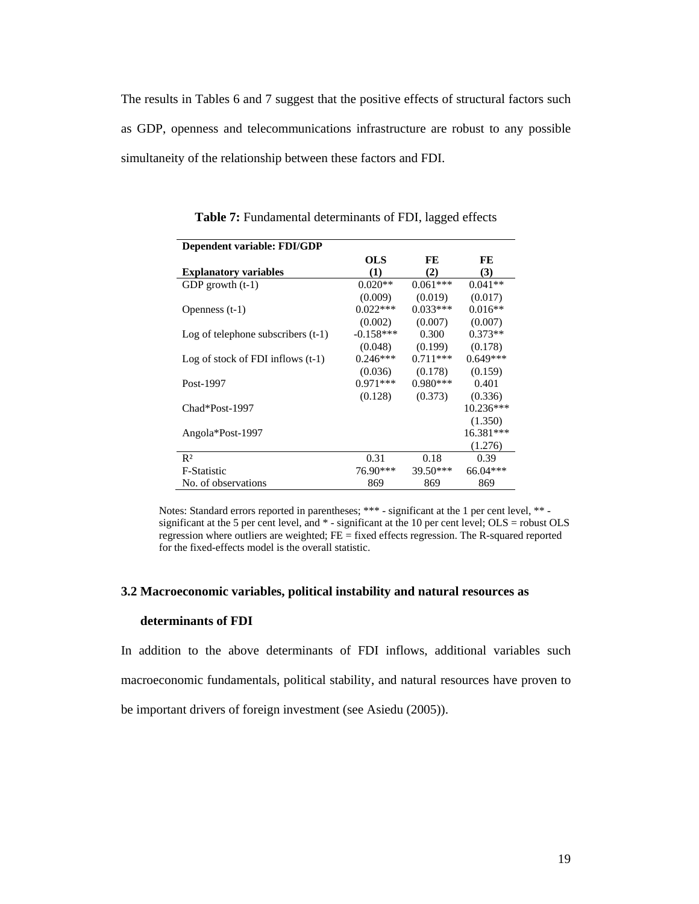The results in Tables 6 and 7 suggest that the positive effects of structural factors such as GDP, openness and telecommunications infrastructure are robust to any possible simultaneity of the relationship between these factors and FDI.

| Dependent variable: FDI/GDP          |             |            |             |
|--------------------------------------|-------------|------------|-------------|
|                                      | OLS         | FE         | FE          |
| <b>Explanatory variables</b>         | $\bf(1)$    | (2)        | (3)         |
| GDP growth $(t-1)$                   | $0.020**$   | $0.061***$ | $0.041**$   |
|                                      | (0.009)     | (0.019)    | (0.017)     |
| Openness $(t-1)$                     | $0.022***$  | $0.033***$ | $0.016**$   |
|                                      | (0.002)     | (0.007)    | (0.007)     |
| Log of telephone subscribers $(t-1)$ | $-0.158***$ | 0.300      | $0.373**$   |
|                                      | (0.048)     | (0.199)    | (0.178)     |
| Log of stock of FDI inflows $(t-1)$  | $0.246***$  | $0.711***$ | $0.649***$  |
|                                      | (0.036)     | (0.178)    | (0.159)     |
| Post-1997                            | $0.971***$  | $0.980***$ | 0.401       |
|                                      | (0.128)     | (0.373)    | (0.336)     |
| Chad*Post-1997                       |             |            | $10.236***$ |
|                                      |             |            | (1.350)     |
| Angola*Post-1997                     |             |            | 16.381***   |
|                                      |             |            | (1.276)     |
| R <sup>2</sup>                       | 0.31        | 0.18       | 0.39        |
| <b>F-Statistic</b>                   | 76.90***    | $39.50***$ | $66.04***$  |
| No. of observations                  | 869         | 869        | 869         |

**Table 7:** Fundamental determinants of FDI, lagged effects

Notes: Standard errors reported in parentheses; \*\*\* - significant at the 1 per cent level, \*\* significant at the 5 per cent level, and  $*$  - significant at the 10 per cent level; OLS = robust OLS regression where outliers are weighted;  $FE = fixed$  effects regression. The R-squared reported for the fixed-effects model is the overall statistic.

#### **3.2 Macroeconomic variables, political instability and natural resources as**

#### **determinants of FDI**

In addition to the above determinants of FDI inflows, additional variables such macroeconomic fundamentals, political stability, and natural resources have proven to be important drivers of foreign investment (see Asiedu (2005)).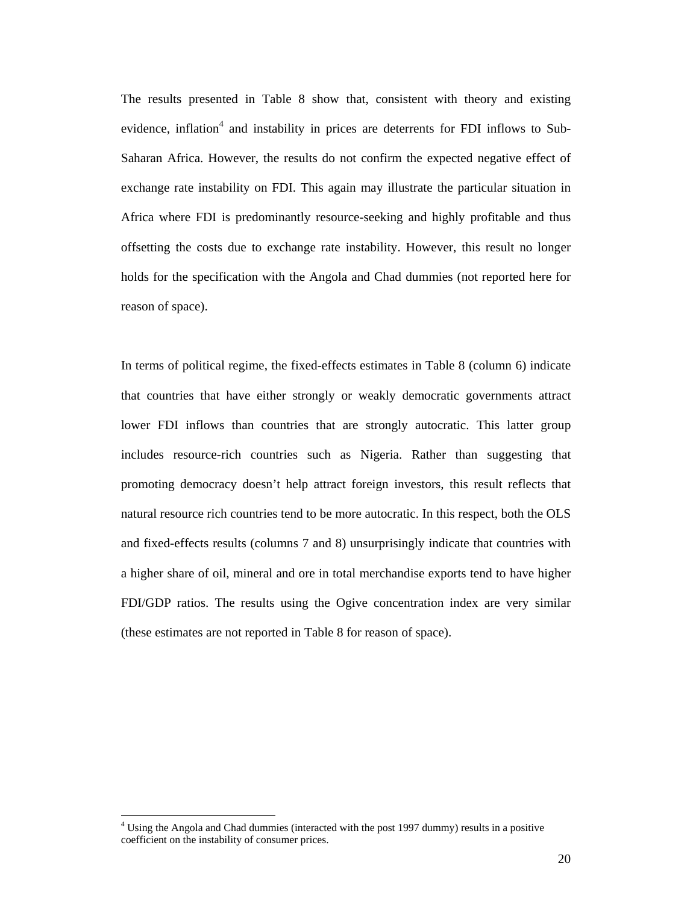The results presented in Table 8 show that, consistent with theory and existing evidence, inflation<sup>4</sup> and instability in prices are deterrents for FDI inflows to Sub-Saharan Africa. However, the results do not confirm the expected negative effect of exchange rate instability on FDI. This again may illustrate the particular situation in Africa where FDI is predominantly resource-seeking and highly profitable and thus offsetting the costs due to exchange rate instability. However, this result no longer holds for the specification with the Angola and Chad dummies (not reported here for reason of space).

In terms of political regime, the fixed-effects estimates in Table 8 (column 6) indicate that countries that have either strongly or weakly democratic governments attract lower FDI inflows than countries that are strongly autocratic. This latter group includes resource-rich countries such as Nigeria. Rather than suggesting that promoting democracy doesn't help attract foreign investors, this result reflects that natural resource rich countries tend to be more autocratic. In this respect, both the OLS and fixed-effects results (columns 7 and 8) unsurprisingly indicate that countries with a higher share of oil, mineral and ore in total merchandise exports tend to have higher FDI/GDP ratios. The results using the Ogive concentration index are very similar (these estimates are not reported in Table 8 for reason of space).

 $\overline{a}$ 

<sup>&</sup>lt;sup>4</sup> Using the Angola and Chad dummies (interacted with the post 1997 dummy) results in a positive coefficient on the instability of consumer prices.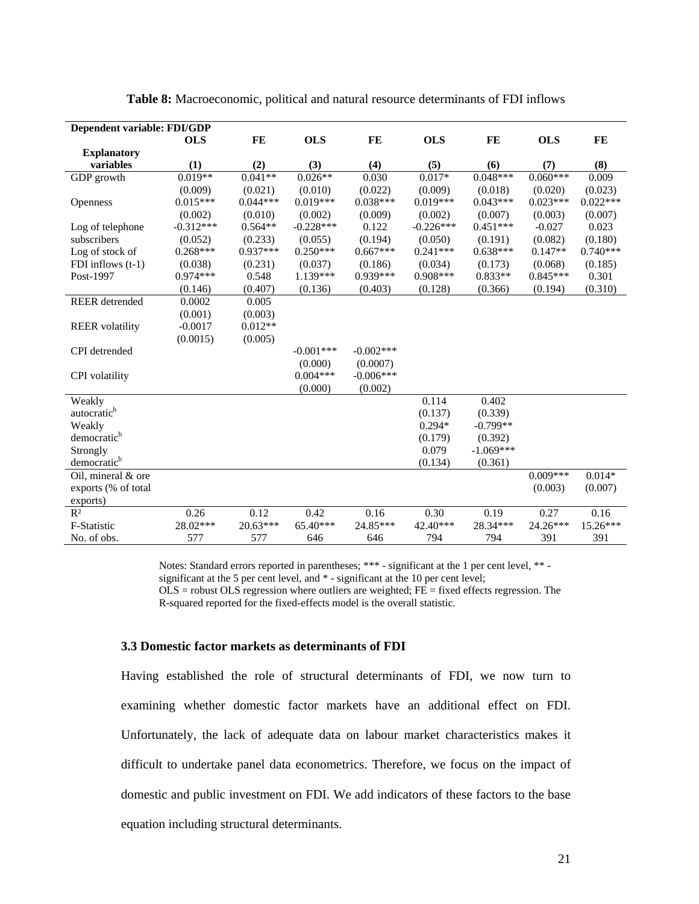| Dependent variable: FDI/GDP |             |            |             |             |             |             |            |            |
|-----------------------------|-------------|------------|-------------|-------------|-------------|-------------|------------|------------|
|                             | <b>OLS</b>  | FE         | <b>OLS</b>  | FE          | <b>OLS</b>  | FE          | <b>OLS</b> | FE         |
| <b>Explanatory</b>          |             |            |             |             |             |             |            |            |
| variables                   | (1)         | (2)        | (3)         | (4)         | (5)         | (6)         | (7)        | (8)        |
| GDP growth                  | $0.019**$   | $0.041**$  | $0.026**$   | 0.030       | $0.017*$    | $0.048***$  | $0.060***$ | 0.009      |
|                             | (0.009)     | (0.021)    | (0.010)     | (0.022)     | (0.009)     | (0.018)     | (0.020)    | (0.023)    |
| Openness                    | $0.015***$  | $0.044***$ | $0.019***$  | $0.038***$  | $0.019***$  | $0.043***$  | $0.023***$ | $0.022***$ |
|                             | (0.002)     | (0.010)    | (0.002)     | (0.009)     | (0.002)     | (0.007)     | (0.003)    | (0.007)    |
| Log of telephone            | $-0.312***$ | $0.564**$  | $-0.228***$ | 0.122       | $-0.226***$ | $0.451***$  | $-0.027$   | 0.023      |
| subscribers                 | (0.052)     | (0.233)    | (0.055)     | (0.194)     | (0.050)     | (0.191)     | (0.082)    | (0.180)    |
| Log of stock of             | $0.268***$  | $0.937***$ | $0.250***$  | $0.667***$  | $0.241***$  | $0.638***$  | $0.147**$  | $0.740***$ |
| FDI inflows $(t-1)$         | (0.038)     | (0.231)    | (0.037)     | (0.186)     | (0.034)     | (0.173)     | (0.068)    | (0.185)    |
| Post-1997                   | $0.974***$  | 0.548      | 1.139***    | 0.939***    | $0.908***$  | $0.833**$   | $0.845***$ | 0.301      |
|                             | (0.146)     | (0.407)    | (0.136)     | (0.403)     | (0.128)     | (0.366)     | (0.194)    | (0.310)    |
| <b>REER</b> detrended       | 0.0002      | 0.005      |             |             |             |             |            |            |
|                             | (0.001)     | (0.003)    |             |             |             |             |            |            |
| <b>REER</b> volatility      | $-0.0017$   | $0.012**$  |             |             |             |             |            |            |
|                             | (0.0015)    | (0.005)    |             |             |             |             |            |            |
| CPI detrended               |             |            | $-0.001***$ | $-0.002***$ |             |             |            |            |
|                             |             |            | (0.000)     | (0.0007)    |             |             |            |            |
| CPI volatility              |             |            | $0.004***$  | $-0.006***$ |             |             |            |            |
|                             |             |            | (0.000)     | (0.002)     |             |             |            |            |
| Weakly                      |             |            |             |             | 0.114       | 0.402       |            |            |
| autocratic <sup>b</sup>     |             |            |             |             | (0.137)     | (0.339)     |            |            |
| Weakly                      |             |            |             |             | $0.294*$    | $-0.799**$  |            |            |
| democratic <sup>b</sup>     |             |            |             |             | (0.179)     | (0.392)     |            |            |
| Strongly                    |             |            |             |             | 0.079       | $-1.069***$ |            |            |
| democratic <sup>b</sup>     |             |            |             |             | (0.134)     | (0.361)     |            |            |
| Oil, mineral & ore          |             |            |             |             |             |             | $0.009***$ | $0.014*$   |
| exports (% of total         |             |            |             |             |             |             | (0.003)    | (0.007)    |
| exports)                    |             |            |             |             |             |             |            |            |
| R <sup>2</sup>              | 0.26        | 0.12       | 0.42        | 0.16        | 0.30        | 0.19        | 0.27       | 0.16       |
| F-Statistic                 | 28.02***    | 20.63***   | 65.40***    | 24.85***    | 42.40***    | 28.34***    | 24.26***   | 15.26***   |
| No. of obs.                 | 577         | 577        | 646         | 646         | 794         | 794         | 391        | 391        |

**Table 8:** Macroeconomic, political and natural resource determinants of FDI inflows

Notes: Standard errors reported in parentheses; \*\*\* - significant at the 1 per cent level, \*\* significant at the 5 per cent level, and  $*$  - significant at the 10 per cent level;  $\overrightarrow{OLS}$  = robust OLS regression where outliers are weighted; FE = fixed effects regression. The

R-squared reported for the fixed-effects model is the overall statistic.

#### **3.3 Domestic factor markets as determinants of FDI**

Having established the role of structural determinants of FDI, we now turn to examining whether domestic factor markets have an additional effect on FDI. Unfortunately, the lack of adequate data on labour market characteristics makes it difficult to undertake panel data econometrics. Therefore, we focus on the impact of domestic and public investment on FDI. We add indicators of these factors to the base equation including structural determinants.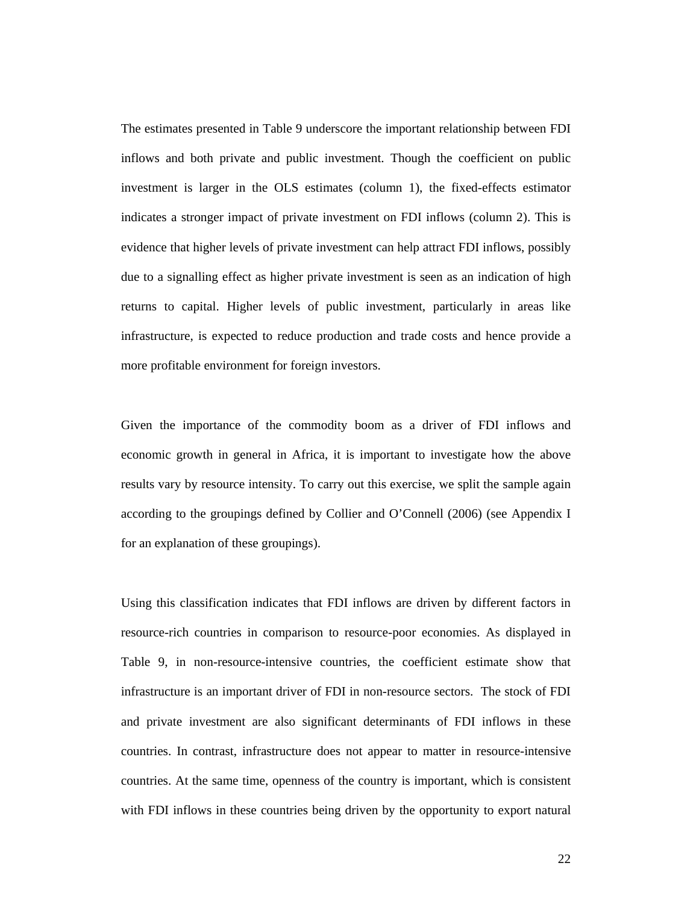The estimates presented in Table 9 underscore the important relationship between FDI inflows and both private and public investment. Though the coefficient on public investment is larger in the OLS estimates (column 1), the fixed-effects estimator indicates a stronger impact of private investment on FDI inflows (column 2). This is evidence that higher levels of private investment can help attract FDI inflows, possibly due to a signalling effect as higher private investment is seen as an indication of high returns to capital. Higher levels of public investment, particularly in areas like infrastructure, is expected to reduce production and trade costs and hence provide a more profitable environment for foreign investors.

Given the importance of the commodity boom as a driver of FDI inflows and economic growth in general in Africa, it is important to investigate how the above results vary by resource intensity. To carry out this exercise, we split the sample again according to the groupings defined by Collier and O'Connell (2006) (see Appendix I for an explanation of these groupings).

Using this classification indicates that FDI inflows are driven by different factors in resource-rich countries in comparison to resource-poor economies. As displayed in Table 9, in non-resource-intensive countries, the coefficient estimate show that infrastructure is an important driver of FDI in non-resource sectors. The stock of FDI and private investment are also significant determinants of FDI inflows in these countries. In contrast, infrastructure does not appear to matter in resource-intensive countries. At the same time, openness of the country is important, which is consistent with FDI inflows in these countries being driven by the opportunity to export natural

22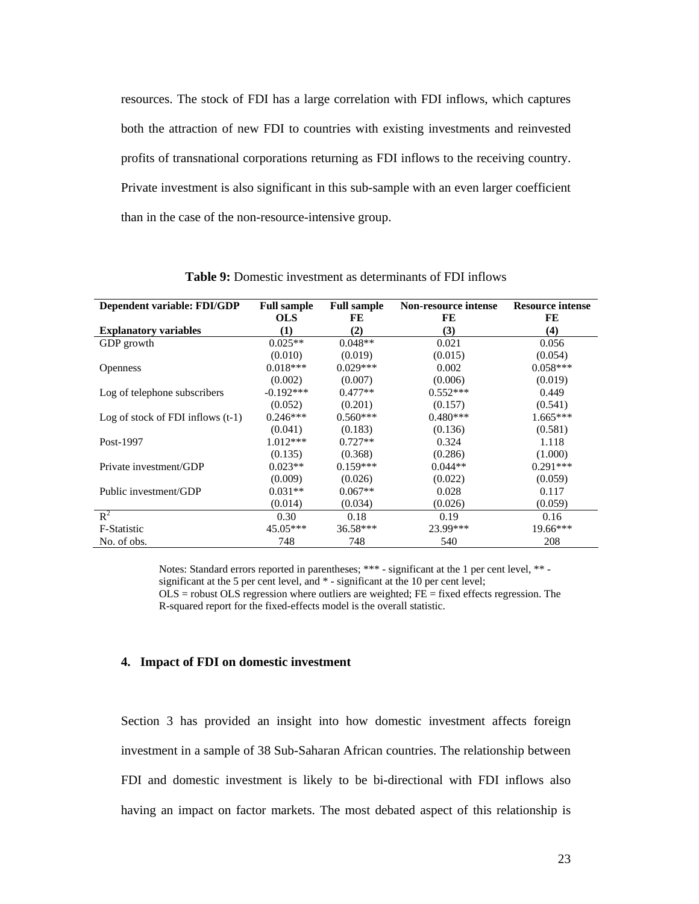resources. The stock of FDI has a large correlation with FDI inflows, which captures both the attraction of new FDI to countries with existing investments and reinvested profits of transnational corporations returning as FDI inflows to the receiving country. Private investment is also significant in this sub-sample with an even larger coefficient than in the case of the non-resource-intensive group.

| Dependent variable: FDI/GDP         | <b>Full sample</b> | <b>Full sample</b> | Non-resource intense | <b>Resource intense</b> |
|-------------------------------------|--------------------|--------------------|----------------------|-------------------------|
|                                     | <b>OLS</b>         | FE                 | FE                   | FE                      |
| <b>Explanatory variables</b>        | (1)                | (2)                | (3)                  | (4)                     |
| GDP growth                          | $0.025**$          | $0.048**$          | 0.021                | 0.056                   |
|                                     | (0.010)            | (0.019)            | (0.015)              | (0.054)                 |
| <b>Openness</b>                     | $0.018***$         | $0.029***$         | 0.002                | $0.058***$              |
|                                     | (0.002)            | (0.007)            | (0.006)              | (0.019)                 |
| Log of telephone subscribers        | $-0.192***$        | $0.477**$          | $0.552***$           | 0.449                   |
|                                     | (0.052)            | (0.201)            | (0.157)              | (0.541)                 |
| Log of stock of FDI inflows $(t-1)$ | $0.246***$         | $0.560***$         | $0.480***$           | $1.665***$              |
|                                     | (0.041)            | (0.183)            | (0.136)              | (0.581)                 |
| Post-1997                           | $1.012***$         | $0.727**$          | 0.324                | 1.118                   |
|                                     | (0.135)            | (0.368)            | (0.286)              | (1.000)                 |
| Private investment/GDP              | $0.023**$          | $0.159***$         | $0.044**$            | $0.291***$              |
|                                     | (0.009)            | (0.026)            | (0.022)              | (0.059)                 |
| Public investment/GDP               | $0.031**$          | $0.067**$          | 0.028                | 0.117                   |
|                                     | (0.014)            | (0.034)            | (0.026)              | (0.059)                 |
| $\mathbb{R}^2$                      | 0.30               | 0.18               | 0.19                 | 0.16                    |
| F-Statistic                         | $45.05***$         | 36.58***           | 23.99***             | $19.66***$              |
| No. of obs.                         | 748                | 748                | 540                  | 208                     |

**Table 9:** Domestic investment as determinants of FDI inflows

Notes: Standard errors reported in parentheses; \*\*\* - significant at the 1 per cent level, \*\* significant at the 5 per cent level, and  $*$  - significant at the 10 per cent level;  $OLS$  = robust OLS regression where outliers are weighted;  $FE$  = fixed effects regression. The

R-squared report for the fixed-effects model is the overall statistic.

#### **4. Impact of FDI on domestic investment**

Section 3 has provided an insight into how domestic investment affects foreign investment in a sample of 38 Sub-Saharan African countries. The relationship between FDI and domestic investment is likely to be bi-directional with FDI inflows also having an impact on factor markets. The most debated aspect of this relationship is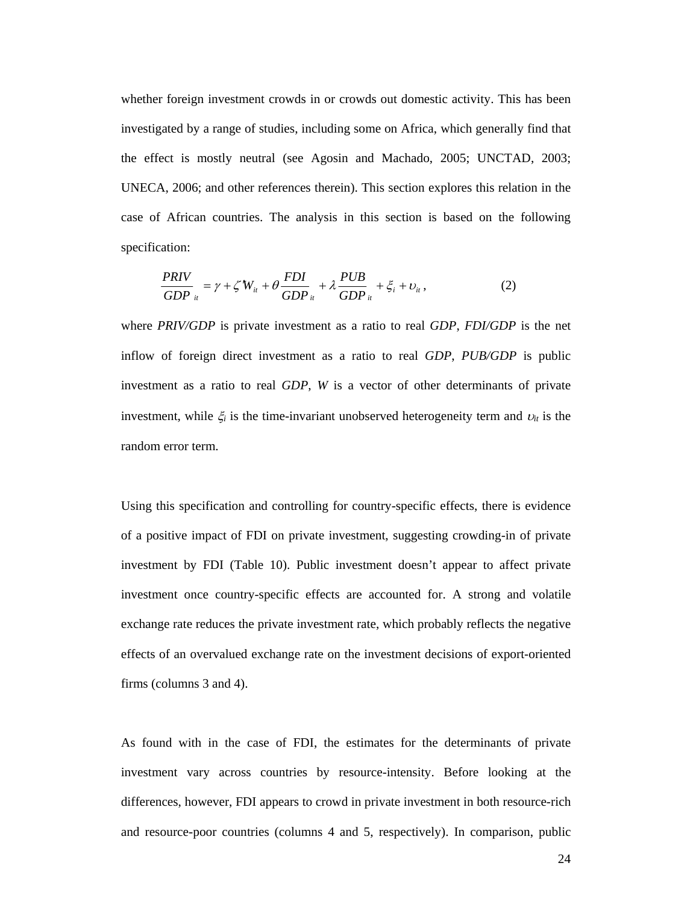whether foreign investment crowds in or crowds out domestic activity. This has been investigated by a range of studies, including some on Africa, which generally find that the effect is mostly neutral (see Agosin and Machado, 2005; UNCTAD, 2003; UNECA, 2006; and other references therein). This section explores this relation in the case of African countries. The analysis in this section is based on the following specification:

$$
\frac{PRIV}{GDP}_{ii} = \gamma + \zeta' W_{ii} + \theta \frac{FDI}{GDP}_{ii} + \lambda \frac{PUB}{GDP}_{ii} + \xi_i + \upsilon_i, \qquad (2)
$$

where *PRIV/GDP* is private investment as a ratio to real *GDP*, *FDI/GDP* is the net inflow of foreign direct investment as a ratio to real *GDP*, *PUB/GDP* is public investment as a ratio to real *GDP*, *W* is a vector of other determinants of private investment, while  $\xi$ <sup>*i*</sup> is the time-invariant unobserved heterogeneity term and  $v$ <sup>*i*</sup> is the random error term.

Using this specification and controlling for country-specific effects, there is evidence of a positive impact of FDI on private investment, suggesting crowding-in of private investment by FDI (Table 10). Public investment doesn't appear to affect private investment once country-specific effects are accounted for. A strong and volatile exchange rate reduces the private investment rate, which probably reflects the negative effects of an overvalued exchange rate on the investment decisions of export-oriented firms (columns 3 and 4).

As found with in the case of FDI, the estimates for the determinants of private investment vary across countries by resource-intensity. Before looking at the differences, however, FDI appears to crowd in private investment in both resource-rich and resource-poor countries (columns 4 and 5, respectively). In comparison, public

24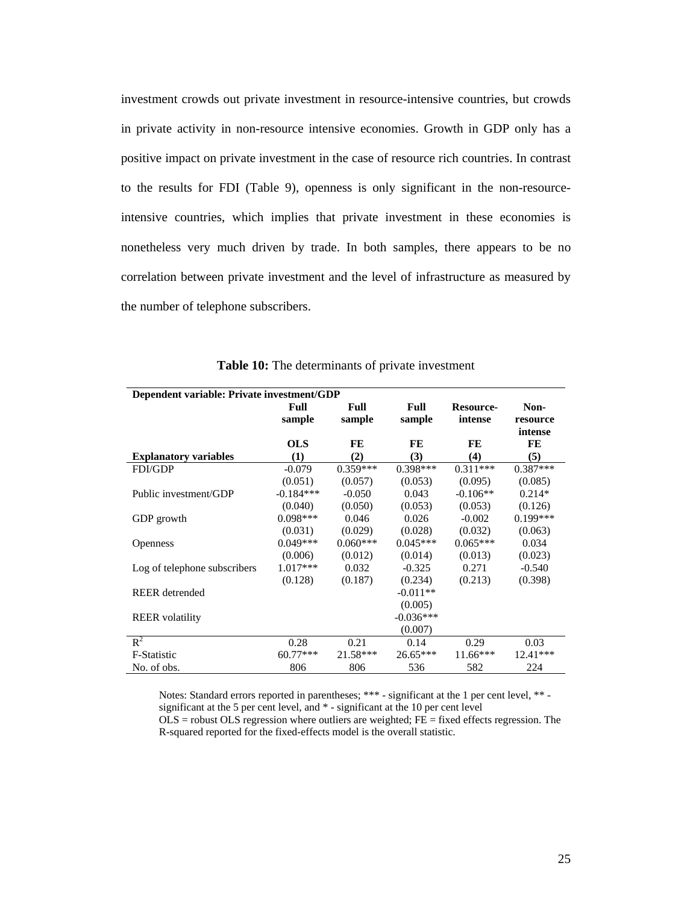investment crowds out private investment in resource-intensive countries, but crowds in private activity in non-resource intensive economies. Growth in GDP only has a positive impact on private investment in the case of resource rich countries. In contrast to the results for FDI (Table 9), openness is only significant in the non-resourceintensive countries, which implies that private investment in these economies is nonetheless very much driven by trade. In both samples, there appears to be no correlation between private investment and the level of infrastructure as measured by the number of telephone subscribers.

| Dependent variable: Private investment/GDP |                       |                |                |                             |                             |  |
|--------------------------------------------|-----------------------|----------------|----------------|-----------------------------|-----------------------------|--|
|                                            | <b>Full</b><br>sample | Full<br>sample | Full<br>sample | <b>Resource-</b><br>intense | Non-<br>resource<br>intense |  |
|                                            | <b>OLS</b>            | FE             | FE             | FE                          | FE                          |  |
| <b>Explanatory variables</b>               | (1)                   | (2)            | (3)            | $\left( 4\right)$           | (5)                         |  |
| <b>FDI/GDP</b>                             | $-0.079$              | $0.359***$     | $0.398***$     | $0.311***$                  | $0.387***$                  |  |
|                                            | (0.051)               | (0.057)        | (0.053)        | (0.095)                     | (0.085)                     |  |
| Public investment/GDP                      | $-0.184***$           | $-0.050$       | 0.043          | $-0.106**$                  | $0.214*$                    |  |
|                                            | (0.040)               | (0.050)        | (0.053)        | (0.053)                     | (0.126)                     |  |
| GDP growth                                 | $0.098***$            | 0.046          | 0.026          | $-0.002$                    | $0.199***$                  |  |
|                                            | (0.031)               | (0.029)        | (0.028)        | (0.032)                     | (0.063)                     |  |
| <b>Openness</b>                            | $0.049***$            | $0.060***$     | $0.045***$     | $0.065***$                  | 0.034                       |  |
|                                            | (0.006)               | (0.012)        | (0.014)        | (0.013)                     | (0.023)                     |  |
| Log of telephone subscribers               | $1.017***$            | 0.032          | $-0.325$       | 0.271                       | $-0.540$                    |  |
|                                            | (0.128)               | (0.187)        | (0.234)        | (0.213)                     | (0.398)                     |  |
| <b>REER</b> detrended                      |                       |                | $-0.011**$     |                             |                             |  |
|                                            |                       |                | (0.005)        |                             |                             |  |
| <b>REER</b> volatility                     |                       |                | $-0.036***$    |                             |                             |  |
|                                            |                       |                | (0.007)        |                             |                             |  |
| $R^2$                                      | 0.28                  | 0.21           | 0.14           | 0.29                        | 0.03                        |  |
| F-Statistic                                | $60.77***$            | $21.58***$     | $26.65***$     | $11.66***$                  | 12.41***                    |  |
| No. of obs.                                | 806                   | 806            | 536            | 582                         | 224                         |  |

**Table 10:** The determinants of private investment

Notes: Standard errors reported in parentheses; \*\*\* - significant at the 1 per cent level, \*\* significant at the 5 per cent level, and \* - significant at the 10 per cent level  $OLS$  = robust OLS regression where outliers are weighted;  $FE$  = fixed effects regression. The R-squared reported for the fixed-effects model is the overall statistic.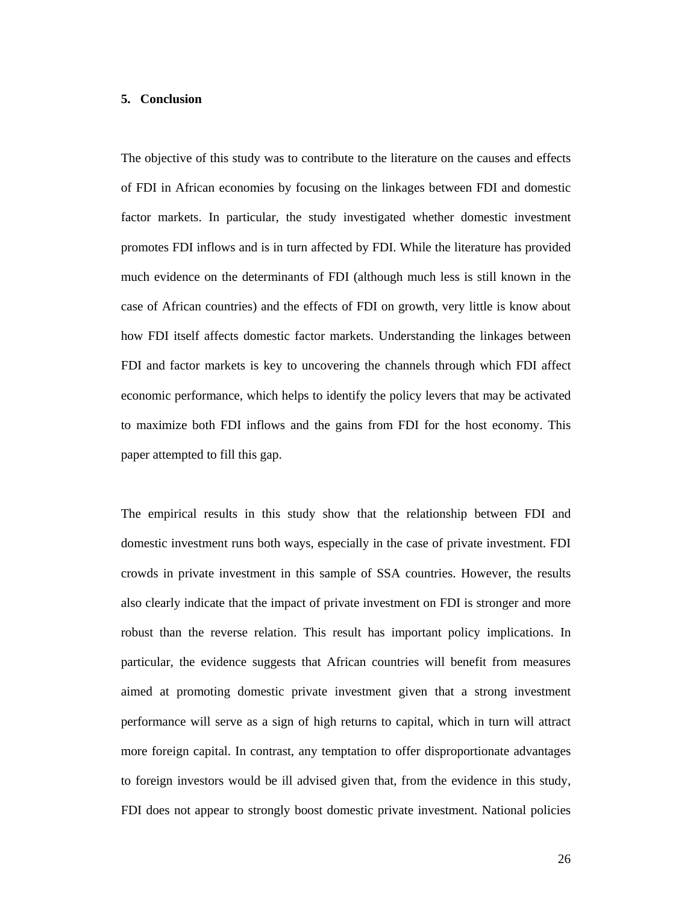#### **5. Conclusion**

The objective of this study was to contribute to the literature on the causes and effects of FDI in African economies by focusing on the linkages between FDI and domestic factor markets. In particular, the study investigated whether domestic investment promotes FDI inflows and is in turn affected by FDI. While the literature has provided much evidence on the determinants of FDI (although much less is still known in the case of African countries) and the effects of FDI on growth, very little is know about how FDI itself affects domestic factor markets. Understanding the linkages between FDI and factor markets is key to uncovering the channels through which FDI affect economic performance, which helps to identify the policy levers that may be activated to maximize both FDI inflows and the gains from FDI for the host economy. This paper attempted to fill this gap.

The empirical results in this study show that the relationship between FDI and domestic investment runs both ways, especially in the case of private investment. FDI crowds in private investment in this sample of SSA countries. However, the results also clearly indicate that the impact of private investment on FDI is stronger and more robust than the reverse relation. This result has important policy implications. In particular, the evidence suggests that African countries will benefit from measures aimed at promoting domestic private investment given that a strong investment performance will serve as a sign of high returns to capital, which in turn will attract more foreign capital. In contrast, any temptation to offer disproportionate advantages to foreign investors would be ill advised given that, from the evidence in this study, FDI does not appear to strongly boost domestic private investment. National policies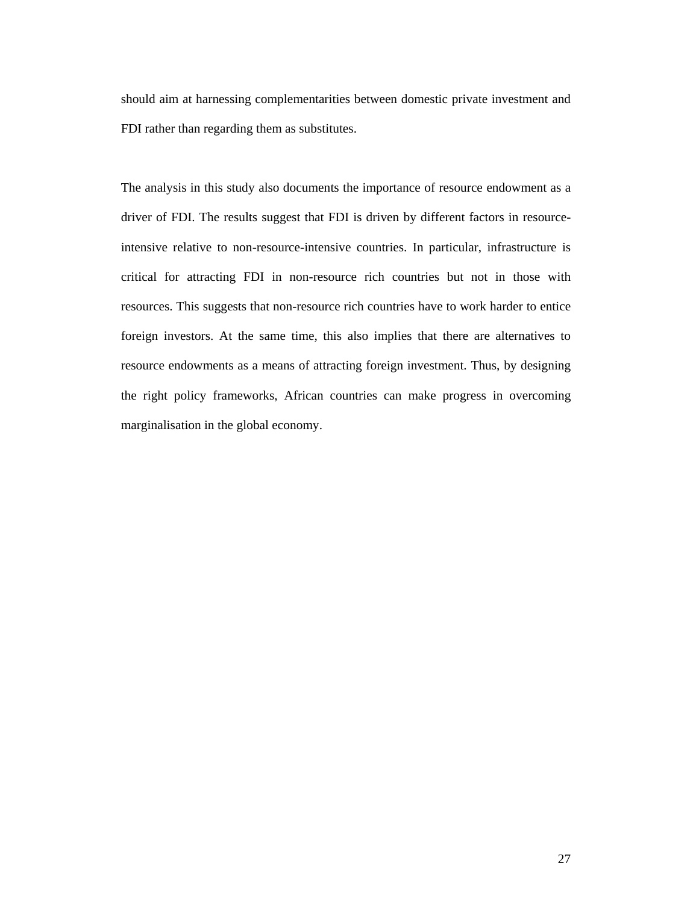should aim at harnessing complementarities between domestic private investment and FDI rather than regarding them as substitutes.

The analysis in this study also documents the importance of resource endowment as a driver of FDI. The results suggest that FDI is driven by different factors in resourceintensive relative to non-resource-intensive countries. In particular, infrastructure is critical for attracting FDI in non-resource rich countries but not in those with resources. This suggests that non-resource rich countries have to work harder to entice foreign investors. At the same time, this also implies that there are alternatives to resource endowments as a means of attracting foreign investment. Thus, by designing the right policy frameworks, African countries can make progress in overcoming marginalisation in the global economy.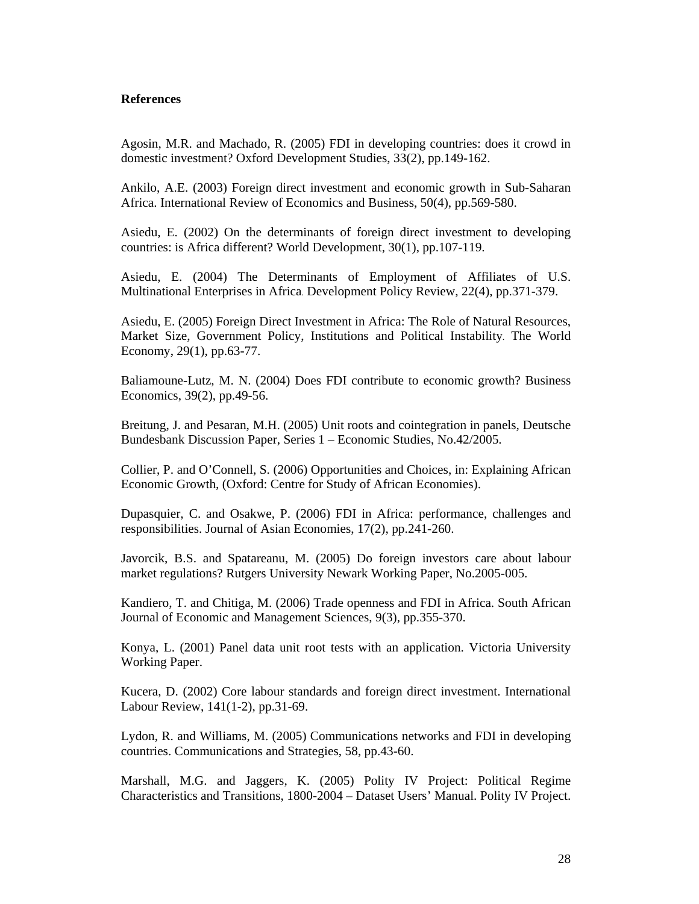#### **References**

Agosin, M.R. and Machado, R. (2005) FDI in developing countries: does it crowd in domestic investment? Oxford Development Studies, 33(2), pp.149-162.

Ankilo, A.E. (2003) Foreign direct investment and economic growth in Sub-Saharan Africa. International Review of Economics and Business, 50(4), pp.569-580.

Asiedu, E. (2002) On the determinants of foreign direct investment to developing countries: is Africa different? World Development, 30(1), pp.107-119.

Asiedu, E. (2004) The Determinants of Employment of Affiliates of U.S. Multinational Enterprises in Africa. Development Policy Review, 22(4), pp.371-379.

Asiedu, E. (2005) Foreign Direct Investment in Africa: The Role of Natural Resources, Market Size, Government Policy, Institutions and Political Instability. The World Economy, 29(1), pp.63-77.

Baliamoune-Lutz, M. N. (2004) Does FDI contribute to economic growth? Business Economics, 39(2), pp.49-56.

Breitung, J. and Pesaran, M.H. (2005) Unit roots and cointegration in panels, Deutsche Bundesbank Discussion Paper, Series 1 – Economic Studies, No.42/2005.

Collier, P. and O'Connell, S. (2006) Opportunities and Choices, in: Explaining African Economic Growth*,* (Oxford: Centre for Study of African Economies).

Dupasquier, C. and Osakwe, P. (2006) FDI in Africa: performance, challenges and responsibilities. Journal of Asian Economies, 17(2), pp.241-260.

Javorcik, B.S. and Spatareanu, M. (2005) Do foreign investors care about labour market regulations? Rutgers University Newark Working Paper, No.2005-005.

Kandiero, T. and Chitiga, M. (2006) Trade openness and FDI in Africa. South African Journal of Economic and Management Sciences, 9(3), pp.355-370.

Konya, L. (2001) Panel data unit root tests with an application. Victoria University Working Paper.

Kucera, D. (2002) Core labour standards and foreign direct investment. International Labour Review, 141(1-2), pp.31-69.

Lydon, R. and Williams, M. (2005) Communications networks and FDI in developing countries. Communications and Strategies, 58, pp.43-60.

Marshall, M.G. and Jaggers, K. (2005) Polity IV Project: Political Regime Characteristics and Transitions, 1800-2004 – Dataset Users' Manual. Polity IV Project.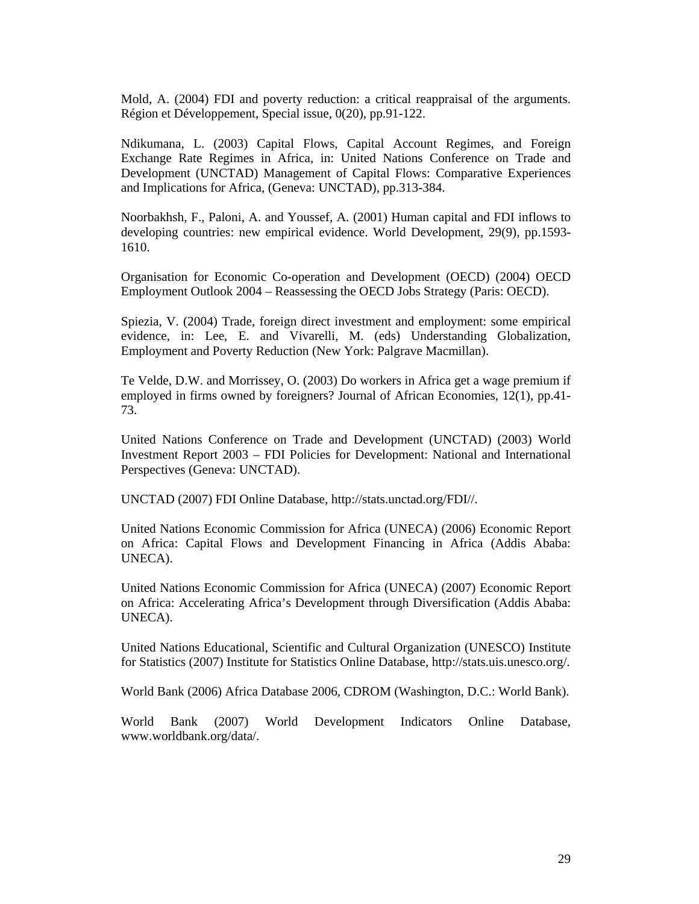Mold, A. (2004) FDI and poverty reduction: a critical reappraisal of the arguments. Région et Développement, Special issue, 0(20), pp.91-122.

Ndikumana, L. (2003) Capital Flows, Capital Account Regimes, and Foreign Exchange Rate Regimes in Africa, in: United Nations Conference on Trade and Development (UNCTAD) Management of Capital Flows: Comparative Experiences and Implications for Africa, (Geneva: UNCTAD), pp.313-384.

Noorbakhsh, F., Paloni, A. and Youssef, A. (2001) Human capital and FDI inflows to developing countries: new empirical evidence. World Development, 29(9), pp.1593- 1610.

Organisation for Economic Co-operation and Development (OECD) (2004) OECD Employment Outlook 2004 – Reassessing the OECD Jobs Strategy (Paris: OECD).

Spiezia, V. (2004) Trade, foreign direct investment and employment: some empirical evidence, in: Lee, E. and Vivarelli, M. (eds) Understanding Globalization, Employment and Poverty Reduction (New York: Palgrave Macmillan).

Te Velde, D.W. and Morrissey, O. (2003) Do workers in Africa get a wage premium if employed in firms owned by foreigners? Journal of African Economies, 12(1), pp.41- 73.

United Nations Conference on Trade and Development (UNCTAD) (2003) World Investment Report 2003 – FDI Policies for Development: National and International Perspectives (Geneva: UNCTAD).

UNCTAD (2007) FDI Online Database, http://stats.unctad.org/FDI//.

United Nations Economic Commission for Africa (UNECA) (2006) Economic Report on Africa: Capital Flows and Development Financing in Africa (Addis Ababa: UNECA).

United Nations Economic Commission for Africa (UNECA) (2007) Economic Report on Africa: Accelerating Africa's Development through Diversification (Addis Ababa: UNECA).

United Nations Educational, Scientific and Cultural Organization (UNESCO) Institute for Statistics (2007) Institute for Statistics Online Database, http://stats.uis.unesco.org/.

World Bank (2006) Africa Database 2006*,* CDROM (Washington, D.C.: World Bank).

World Bank (2007) World Development Indicators Online Database, www.worldbank.org/data/.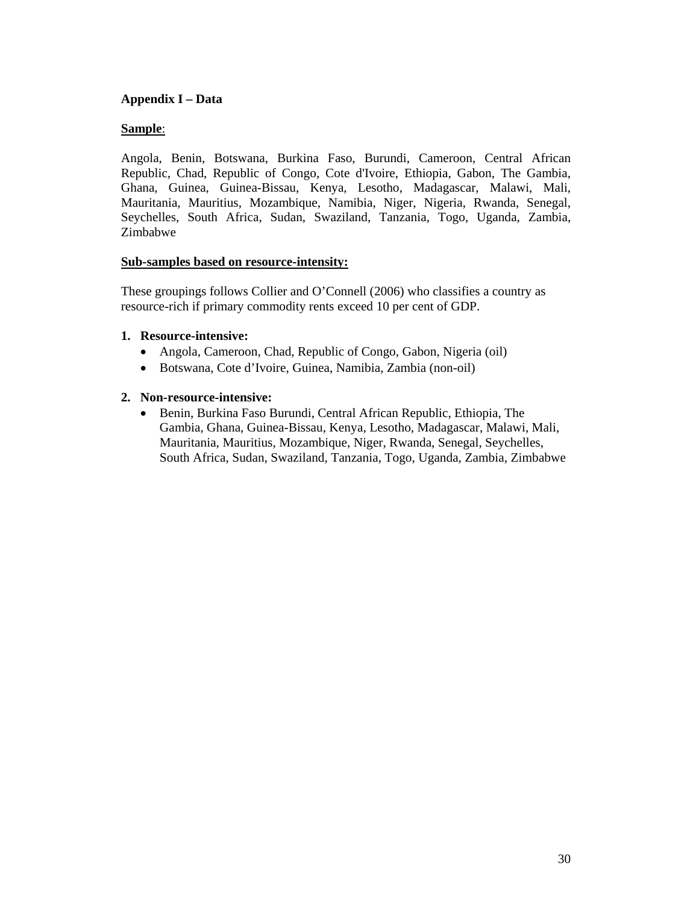### **Appendix I – Data**

### **Sample**:

Angola, Benin, Botswana, Burkina Faso, Burundi, Cameroon, Central African Republic, Chad, Republic of Congo, Cote d'Ivoire, Ethiopia, Gabon, The Gambia, Ghana, Guinea, Guinea-Bissau, Kenya, Lesotho, Madagascar, Malawi, Mali, Mauritania, Mauritius, Mozambique, Namibia, Niger, Nigeria, Rwanda, Senegal, Seychelles, South Africa, Sudan, Swaziland, Tanzania, Togo, Uganda, Zambia, Zimbabwe

#### **Sub-samples based on resource-intensity:**

These groupings follows Collier and O'Connell (2006) who classifies a country as resource-rich if primary commodity rents exceed 10 per cent of GDP.

#### **1. Resource-intensive:**

- Angola, Cameroon, Chad, Republic of Congo, Gabon, Nigeria (oil)
- Botswana, Cote d'Ivoire, Guinea, Namibia, Zambia (non-oil)

#### **2. Non-resource-intensive:**

• Benin, Burkina Faso Burundi, Central African Republic, Ethiopia, The Gambia, Ghana, Guinea-Bissau, Kenya, Lesotho, Madagascar, Malawi, Mali, Mauritania, Mauritius, Mozambique, Niger, Rwanda, Senegal, Seychelles, South Africa, Sudan, Swaziland, Tanzania, Togo, Uganda, Zambia, Zimbabwe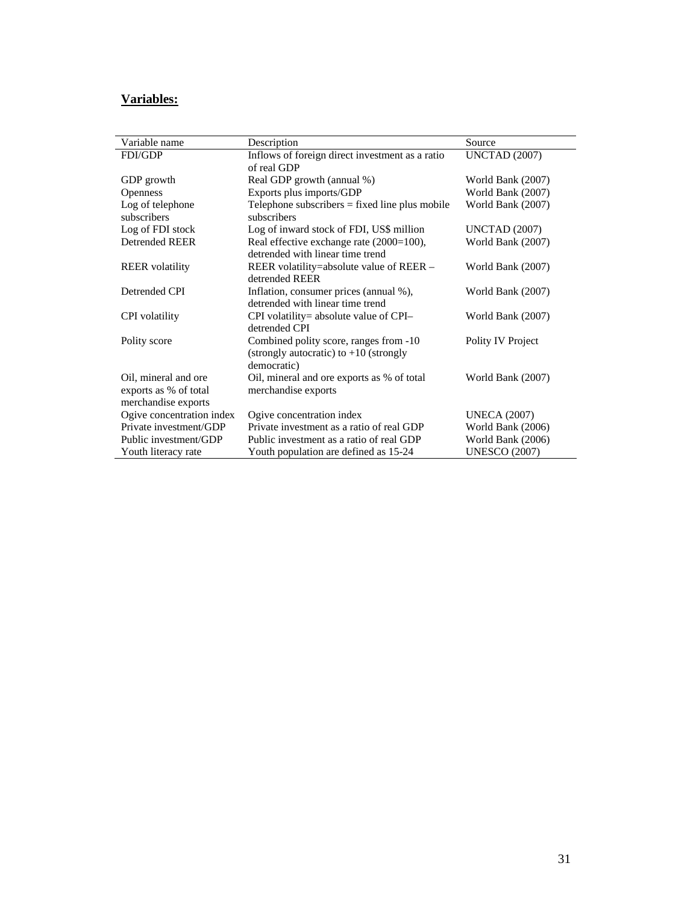# **Variables:**

| Variable name                                                        | Description                                                                                       | Source               |
|----------------------------------------------------------------------|---------------------------------------------------------------------------------------------------|----------------------|
| <b>FDI/GDP</b>                                                       | Inflows of foreign direct investment as a ratio<br>of real GDP                                    | <b>UNCTAD</b> (2007) |
| GDP growth                                                           | Real GDP growth (annual %)                                                                        | World Bank (2007)    |
| <b>Openness</b>                                                      | Exports plus imports/GDP                                                                          | World Bank (2007)    |
| Log of telephone                                                     | Telephone subscribers $=$ fixed line plus mobile                                                  | World Bank (2007)    |
| subscribers                                                          | subscribers                                                                                       |                      |
| Log of FDI stock                                                     | Log of inward stock of FDI, US\$ million                                                          | <b>UNCTAD</b> (2007) |
| <b>Detrended REER</b>                                                | Real effective exchange rate (2000=100),<br>detrended with linear time trend                      | World Bank (2007)    |
| <b>REER</b> volatility                                               | REER volatility=absolute value of REER –<br>detrended REER                                        | World Bank (2007)    |
| Detrended CPI                                                        | Inflation, consumer prices (annual %),<br>detrended with linear time trend                        | World Bank (2007)    |
| <b>CPI</b> volatility                                                | CPI volatility= absolute value of CPI-<br>detrended CPI                                           | World Bank (2007)    |
| Polity score                                                         | Combined polity score, ranges from -10<br>(strongly autocratic) to $+10$ (strongly<br>democratic) | Polity IV Project    |
| Oil, mineral and ore<br>exports as % of total<br>merchandise exports | Oil, mineral and ore exports as % of total<br>merchandise exports                                 | World Bank (2007)    |
| Ogive concentration index                                            | Ogive concentration index                                                                         | <b>UNECA</b> (2007)  |
| Private investment/GDP                                               | Private investment as a ratio of real GDP                                                         | World Bank (2006)    |
| Public investment/GDP                                                | Public investment as a ratio of real GDP                                                          | World Bank (2006)    |
| Youth literacy rate                                                  | Youth population are defined as 15-24                                                             | <b>UNESCO (2007)</b> |